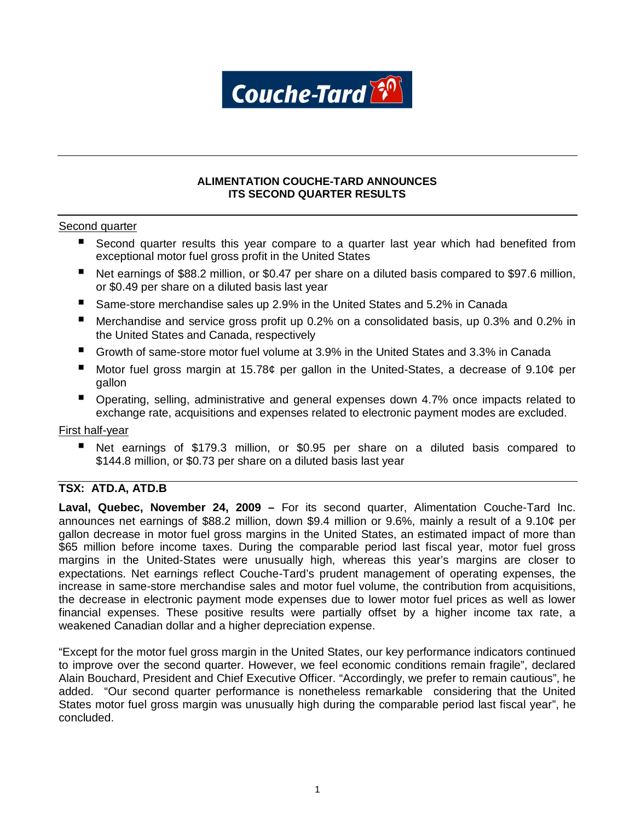

### **ALIMENTATION COUCHE-TARD ANNOUNCES ITS SECOND QUARTER RESULTS**

# Second quarter

- Second quarter results this year compare to a quarter last year which had benefited from exceptional motor fuel gross profit in the United States
- Net earnings of \$88.2 million, or \$0.47 per share on a diluted basis compared to \$97.6 million, or \$0.49 per share on a diluted basis last year
- Same-store merchandise sales up 2.9% in the United States and 5.2% in Canada
- Merchandise and service gross profit up 0.2% on a consolidated basis, up 0.3% and 0.2% in the United States and Canada, respectively
- Growth of same-store motor fuel volume at 3.9% in the United States and 3.3% in Canada
- Motor fuel gross margin at 15.78¢ per gallon in the United-States, a decrease of 9.10¢ per gallon
- Operating, selling, administrative and general expenses down 4.7% once impacts related to exchange rate, acquisitions and expenses related to electronic payment modes are excluded.

First half-year

 Net earnings of \$179.3 million, or \$0.95 per share on a diluted basis compared to \$144.8 million, or \$0.73 per share on a diluted basis last year

# **TSX: ATD.A, ATD.B**

**Laval, Quebec, November 24, 2009 –** For its second quarter, Alimentation Couche-Tard Inc. announces net earnings of \$88.2 million, down \$9.4 million or 9.6%, mainly a result of a 9.10¢ per gallon decrease in motor fuel gross margins in the United States, an estimated impact of more than \$65 million before income taxes. During the comparable period last fiscal year, motor fuel gross margins in the United-States were unusually high, whereas this year's margins are closer to expectations. Net earnings reflect Couche-Tard's prudent management of operating expenses, the increase in same-store merchandise sales and motor fuel volume, the contribution from acquisitions, the decrease in electronic payment mode expenses due to lower motor fuel prices as well as lower financial expenses. These positive results were partially offset by a higher income tax rate, a weakened Canadian dollar and a higher depreciation expense.

"Except for the motor fuel gross margin in the United States, our key performance indicators continued to improve over the second quarter. However, we feel economic conditions remain fragile", declared Alain Bouchard, President and Chief Executive Officer. "Accordingly, we prefer to remain cautious", he added. "Our second quarter performance is nonetheless remarkable considering that the United States motor fuel gross margin was unusually high during the comparable period last fiscal year", he concluded.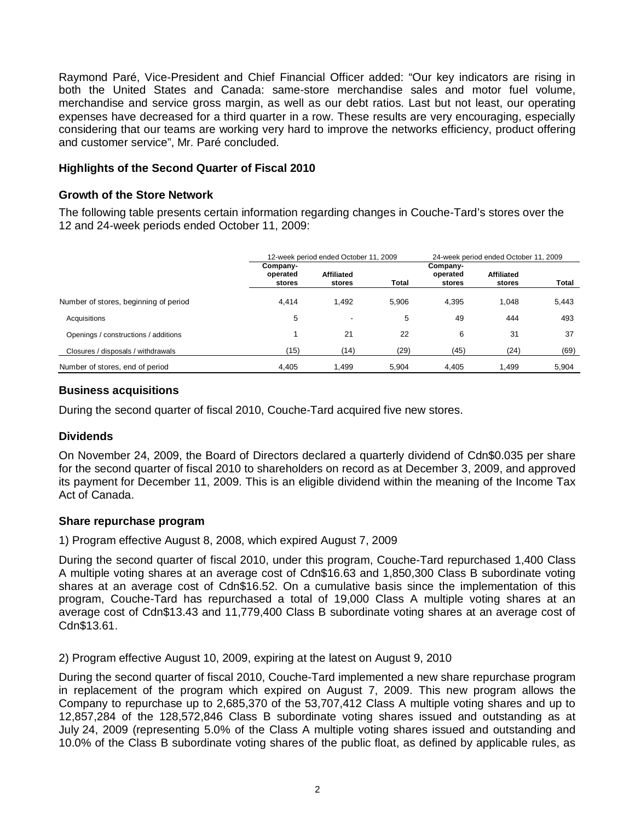Raymond Paré, Vice-President and Chief Financial Officer added: "Our key indicators are rising in both the United States and Canada: same-store merchandise sales and motor fuel volume, merchandise and service gross margin, as well as our debt ratios. Last but not least, our operating expenses have decreased for a third quarter in a row. These results are very encouraging, especially considering that our teams are working very hard to improve the networks efficiency, product offering and customer service", Mr. Paré concluded.

# **Highlights of the Second Quarter of Fiscal 2010**

## **Growth of the Store Network**

The following table presents certain information regarding changes in Couche-Tard's stores over the 12 and 24-week periods ended October 11, 2009:

|                                       |                                | 12-week period ended October 11, 2009 | 24-week period ended October 11, 2009 |                                |                             |              |
|---------------------------------------|--------------------------------|---------------------------------------|---------------------------------------|--------------------------------|-----------------------------|--------------|
|                                       | Company-<br>operated<br>stores | <b>Affiliated</b><br>stores           | Total                                 | Company-<br>operated<br>stores | <b>Affiliated</b><br>stores | <b>Total</b> |
| Number of stores, beginning of period | 4.414                          | 1.492                                 | 5.906                                 | 4.395                          | 1.048                       | 5,443        |
| Acquisitions                          | 5                              | $\overline{\phantom{a}}$              | 5                                     | 49                             | 444                         | 493          |
| Openings / constructions / additions  |                                | 21                                    | 22                                    | 6                              | 31                          | 37           |
| Closures / disposals / withdrawals    | (15)                           | (14)                                  | (29)                                  | (45)                           | (24)                        | (69)         |
| Number of stores, end of period       | 4.405                          | 1.499                                 | 5.904                                 | 4.405                          | .499                        | 5,904        |

# **Business acquisitions**

During the second quarter of fiscal 2010, Couche-Tard acquired five new stores.

# **Dividends**

On November 24, 2009, the Board of Directors declared a quarterly dividend of Cdn\$0.035 per share for the second quarter of fiscal 2010 to shareholders on record as at December 3, 2009, and approved its payment for December 11, 2009. This is an eligible dividend within the meaning of the Income Tax Act of Canada.

### **Share repurchase program**

1) Program effective August 8, 2008, which expired August 7, 2009

During the second quarter of fiscal 2010, under this program, Couche-Tard repurchased 1,400 Class A multiple voting shares at an average cost of Cdn\$16.63 and 1,850,300 Class B subordinate voting shares at an average cost of Cdn\$16.52. On a cumulative basis since the implementation of this program, Couche-Tard has repurchased a total of 19,000 Class A multiple voting shares at an average cost of Cdn\$13.43 and 11,779,400 Class B subordinate voting shares at an average cost of Cdn\$13.61.

2) Program effective August 10, 2009, expiring at the latest on August 9, 2010

During the second quarter of fiscal 2010, Couche-Tard implemented a new share repurchase program in replacement of the program which expired on August 7, 2009. This new program allows the Company to repurchase up to 2,685,370 of the 53,707,412 Class A multiple voting shares and up to 12,857,284 of the 128,572,846 Class B subordinate voting shares issued and outstanding as at July 24, 2009 (representing 5.0% of the Class A multiple voting shares issued and outstanding and 10.0% of the Class B subordinate voting shares of the public float, as defined by applicable rules, as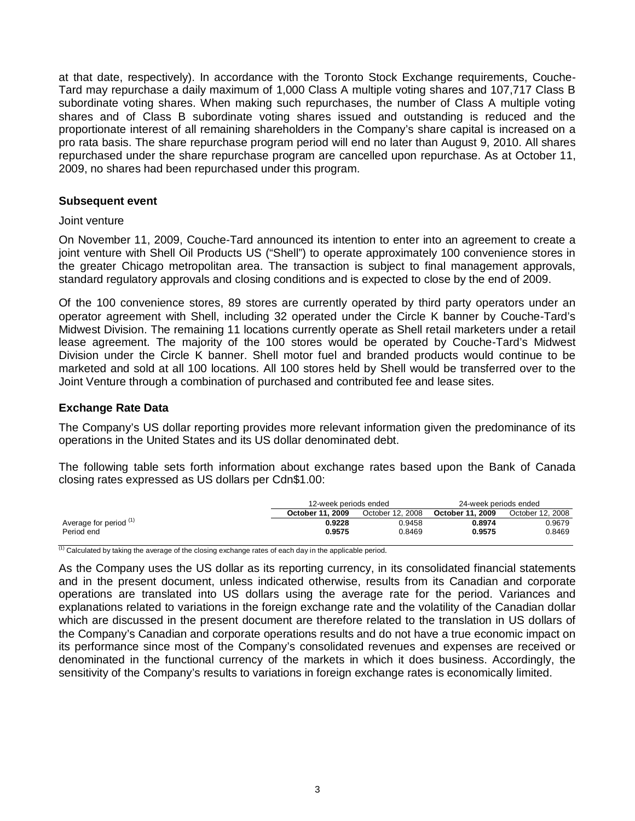at that date, respectively). In accordance with the Toronto Stock Exchange requirements, Couche-Tard may repurchase a daily maximum of 1,000 Class A multiple voting shares and 107,717 Class B subordinate voting shares. When making such repurchases, the number of Class A multiple voting shares and of Class B subordinate voting shares issued and outstanding is reduced and the proportionate interest of all remaining shareholders in the Company's share capital is increased on a pro rata basis. The share repurchase program period will end no later than August 9, 2010. All shares repurchased under the share repurchase program are cancelled upon repurchase. As at October 11, 2009, no shares had been repurchased under this program.

### **Subsequent event**

### Joint venture

On November 11, 2009, Couche-Tard announced its intention to enter into an agreement to create a joint venture with Shell Oil Products US ("Shell") to operate approximately 100 convenience stores in the greater Chicago metropolitan area. The transaction is subject to final management approvals, standard regulatory approvals and closing conditions and is expected to close by the end of 2009.

Of the 100 convenience stores, 89 stores are currently operated by third party operators under an operator agreement with Shell, including 32 operated under the Circle K banner by Couche-Tard's Midwest Division. The remaining 11 locations currently operate as Shell retail marketers under a retail lease agreement. The majority of the 100 stores would be operated by Couche-Tard's Midwest Division under the Circle K banner. Shell motor fuel and branded products would continue to be marketed and sold at all 100 locations. All 100 stores held by Shell would be transferred over to the Joint Venture through a combination of purchased and contributed fee and lease sites.

### **Exchange Rate Data**

The Company's US dollar reporting provides more relevant information given the predominance of its operations in the United States and its US dollar denominated debt.

The following table sets forth information about exchange rates based upon the Bank of Canada closing rates expressed as US dollars per Cdn\$1.00:

|                        | 12-week periods ended |                  | 24-week periods ended |                  |  |
|------------------------|-----------------------|------------------|-----------------------|------------------|--|
|                        | October 11, 2009      | October 12, 2008 | October 11, 2009      | October 12. 2008 |  |
| Average for period (1) | 0.9228                | 0.9458           | 0.8974                | 0.9679           |  |
| Period end             | 0.9575                | 0.8469           | 0.9575                | 0.8469           |  |

 $<sup>(1)</sup>$  Calculated by taking the average of the closing exchange rates of each day in the applicable period.</sup>

As the Company uses the US dollar as its reporting currency, in its consolidated financial statements and in the present document, unless indicated otherwise, results from its Canadian and corporate operations are translated into US dollars using the average rate for the period. Variances and explanations related to variations in the foreign exchange rate and the volatility of the Canadian dollar which are discussed in the present document are therefore related to the translation in US dollars of the Company's Canadian and corporate operations results and do not have a true economic impact on its performance since most of the Company's consolidated revenues and expenses are received or denominated in the functional currency of the markets in which it does business. Accordingly, the sensitivity of the Company's results to variations in foreign exchange rates is economically limited.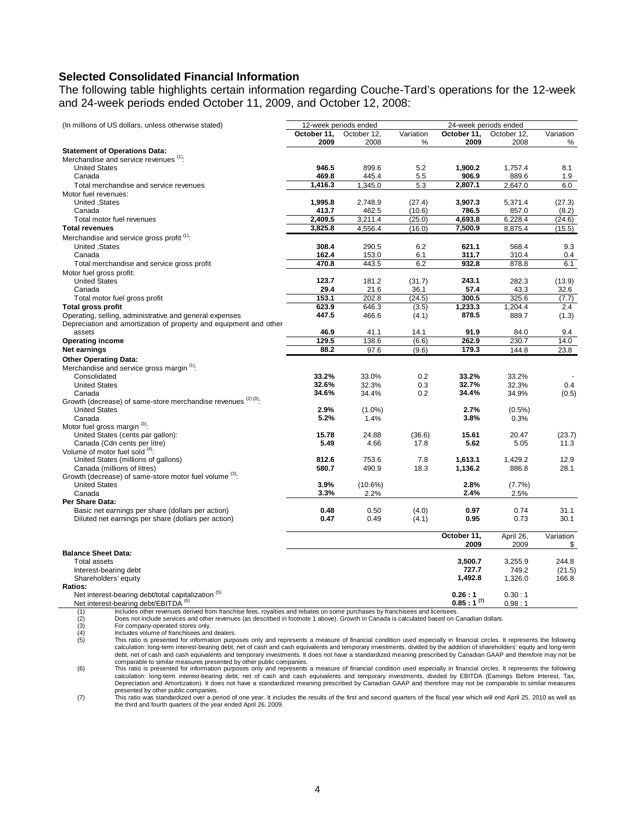### **Selected Consolidated Financial Information**

The following table highlights certain information regarding Couche-Tard's operations for the 12-week and 24-week periods ended October 11, 2009, and October 12, 2008:

| (In millions of US dollars, unless otherwise stated)                                                                                              |                  | 12-week periods ended |                  |                          | 24-week periods ended |                  |
|---------------------------------------------------------------------------------------------------------------------------------------------------|------------------|-----------------------|------------------|--------------------------|-----------------------|------------------|
|                                                                                                                                                   | October 11,      | October 12,           | Variation        | October 11,              | October 12,           | Variation        |
|                                                                                                                                                   | 2009             | 2008                  | %                | 2009                     | 2008                  | ℅                |
| <b>Statement of Operations Data:</b>                                                                                                              |                  |                       |                  |                          |                       |                  |
| Merchandise and service revenues (1):                                                                                                             |                  |                       |                  |                          |                       |                  |
| <b>United States</b>                                                                                                                              | 946.5            | 899.6                 | 5.2              | 1,900.2                  | 1,757.4               | 8.1              |
| Canada                                                                                                                                            | 469.8            | 445.4                 | 5.5              | 906.9                    | 889.6                 | 1.9              |
| Total merchandise and service revenues                                                                                                            | 1,416.3          | 1,345.0               | 5.3              | 2,807.1                  | 2,647.0               | 6.0              |
| Motor fuel revenues:                                                                                                                              |                  |                       |                  |                          |                       |                  |
| United , States                                                                                                                                   | 1,995.8<br>413.7 | 2,748.9               | (27.4)           | 3,907.3<br>786.5         | 5,371.4               | (27.3)           |
| Canada                                                                                                                                            | 2,409.5          | 462.5                 | (10.6)           | 4,693.8                  | 857.0                 | (8.2)            |
| Total motor fuel revenues<br><b>Total revenues</b>                                                                                                | 3,825.8          | 3,211.4<br>4,556.4    | (25.0)<br>(16.0) | 7,500.9                  | 6,228.4<br>8,875.4    | (24.6)<br>(15.5) |
|                                                                                                                                                   |                  |                       |                  |                          |                       |                  |
| Merchandise and service gross profit <sup>(1)</sup> :<br>United, States                                                                           | 308.4            | 290.5                 | 6.2              | 621.1                    | 568.4                 | 9.3              |
| Canada                                                                                                                                            | 162.4            | 153.0                 | 6.1              | 311.7                    | 310.4                 | 0.4              |
| Total merchandise and service gross profit                                                                                                        | 470.8            | 443.5                 | 6.2              | 932.8                    | 878.8                 | 6.1              |
| Motor fuel gross profit:                                                                                                                          |                  |                       |                  |                          |                       |                  |
| <b>United States</b>                                                                                                                              | 123.7            | 181.2                 | (31.7)           | 243.1                    | 282.3                 | (13.9)           |
| Canada                                                                                                                                            | 29.4             | 21.6                  | 36.1             | 57.4                     | 43.3                  | 32.6             |
| Total motor fuel gross profit                                                                                                                     | 153.1            | 202.8                 | (24.5)           | 300.5                    | 325.6                 | (7.7)            |
| <b>Total gross profit</b>                                                                                                                         | 623.9            | 646.3                 | (3.5)            | 1,233.3                  | 1,204.4               | 2.4              |
| Operating, selling, administrative and general expenses                                                                                           | 447.5            | 466.6                 | (4.1)            | 878.5                    | 889.7                 | (1.3)            |
| Depreciation and amortization of property and equipment and other                                                                                 |                  |                       |                  |                          |                       |                  |
| assets                                                                                                                                            | 46.9             | 41.1                  | 14.1             | 91.9                     | 84.0                  | 9.4              |
| <b>Operating income</b>                                                                                                                           | 129.5            | 138.6                 | (6.6)            | 262.9                    | 230.7                 | 14.0             |
| Net earnings                                                                                                                                      | 88.2             | 97.6                  | (9.6)            | 179.3                    | 144.8                 | 23.8             |
| <b>Other Operating Data:</b>                                                                                                                      |                  |                       |                  |                          |                       |                  |
| Merchandise and service gross margin (1):                                                                                                         |                  |                       |                  |                          |                       |                  |
| Consolidated                                                                                                                                      | 33.2%            | 33.0%                 | 0.2              | 33.2%                    | 33.2%                 |                  |
| <b>United States</b>                                                                                                                              | 32.6%            | 32.3%                 | 0.3              | 32.7%                    | 32.3%                 | 0.4              |
| Canada                                                                                                                                            | 34.6%            | 34.4%                 | 0.2              | 34.4%                    | 34.9%                 | (0.5)            |
| Growth (decrease) of same-store merchandise revenues (2) (3).                                                                                     |                  |                       |                  |                          |                       |                  |
| <b>United States</b>                                                                                                                              | 2.9%             | $(1.0\%)$             |                  | 2.7%                     | $(0.5\%)$             |                  |
| Canada                                                                                                                                            | 5.2%             | 1.4%                  |                  | 3.8%                     | 0.3%                  |                  |
| Motor fuel gross margin (3):                                                                                                                      |                  |                       |                  |                          |                       |                  |
| United States (cents par gallon):                                                                                                                 | 15.78            | 24.88                 | (36.6)           | 15.61                    | 20.47                 | (23.7)           |
| Canada (Cdn cents per litre)                                                                                                                      | 5.49             | 4.66                  | 17.8             | 5.62                     | 5.05                  | 11.3             |
| Volume of motor fuel sold (4):                                                                                                                    | 812.6            |                       |                  |                          |                       |                  |
| United States (millions of gallons)<br>Canada (millions of litres)                                                                                | 580.7            | 753.6                 | 7.8              | 1,613.1<br>1,136.2       | 1,429.2               | 12.9             |
| Growth (decrease) of same-store motor fuel volume (3):                                                                                            |                  | 490.9                 | 18.3             |                          | 886.8                 | 28.1             |
| <b>United States</b>                                                                                                                              | 3.9%             | $(10.6\%)$            |                  | 2.8%                     | (7.7%)                |                  |
| Canada                                                                                                                                            | 3.3%             | 2.2%                  |                  | 2.4%                     | 2.5%                  |                  |
| Per Share Data:                                                                                                                                   |                  |                       |                  |                          |                       |                  |
| Basic net earnings per share (dollars per action)                                                                                                 | 0.48             | 0.50                  | (4.0)            | 0.97                     | 0.74                  | 31.1             |
| Diluted net earnings per share (dollars per action)                                                                                               | 0.47             | 0.49                  | (4.1)            | 0.95                     | 0.73                  | 30.1             |
|                                                                                                                                                   |                  |                       |                  |                          |                       |                  |
|                                                                                                                                                   |                  |                       |                  | October 11,              | April 26,             | Variation        |
|                                                                                                                                                   |                  |                       |                  | 2009                     | 2009                  | \$               |
| <b>Balance Sheet Data:</b>                                                                                                                        |                  |                       |                  |                          |                       |                  |
| <b>Total assets</b>                                                                                                                               |                  |                       |                  | 3,500.7                  | 3,255.9               | 244.8            |
| Interest-bearing debt                                                                                                                             |                  |                       |                  | 727.7                    | 749.2                 | (21.5)           |
| Shareholders' equity                                                                                                                              |                  |                       |                  | 1,492.8                  | 1,326.0               | 166.8            |
| Ratios:                                                                                                                                           |                  |                       |                  |                          |                       |                  |
| Net interest-bearing debt/total capitalization <sup>(5)</sup><br>Net interest-bearing debt/EBITDA <sup>(6)</sup>                                  |                  |                       |                  | 0.26:1<br>$0.85:1^{(7)}$ | 0.30:1                |                  |
| Includes other revenues derived from franchise fees, royalties and rebates on some purchases by franchisees and licensees.<br>(1)                 |                  |                       |                  |                          | 0.98:1                |                  |
| (2)<br>Does not include services and other revenues (as described in footnote 1 above). Growth in Canada is calculated based on Canadian dollars. |                  |                       |                  |                          |                       |                  |

(3) For company-operated stores only. (4) Includes volume of franchisees and dealers.

(3) Construct of information information purposes only and represents a measure of financial condition used especially in financial circles. It represents the following<br>(4) Includes volume of franchisees and dealers.<br>(5) T calculation: long-tem interest-bearing debt, net of cash and cash equivalents and temporary investments, divided by the addition of shareholders' equity and long-term<br>debt, net of cash and cash equivalents and temporary in

comparable to similar measures presented by other public companies.<br>(6) This ratio is presented for information purposes only and represents a measure of financial condition used especially in financial circles. It represe Depreciation and Amortization). It does not have a standardized meaning prescribed by Canadian GAAP and therefore may not be comparable to similar measures

presented by other public companies.<br>(7) This ratio was standardized over a period of one year. It includes the results of the first and second quarters of the fiscal year which will end April 25, 2010 as well as<br>the third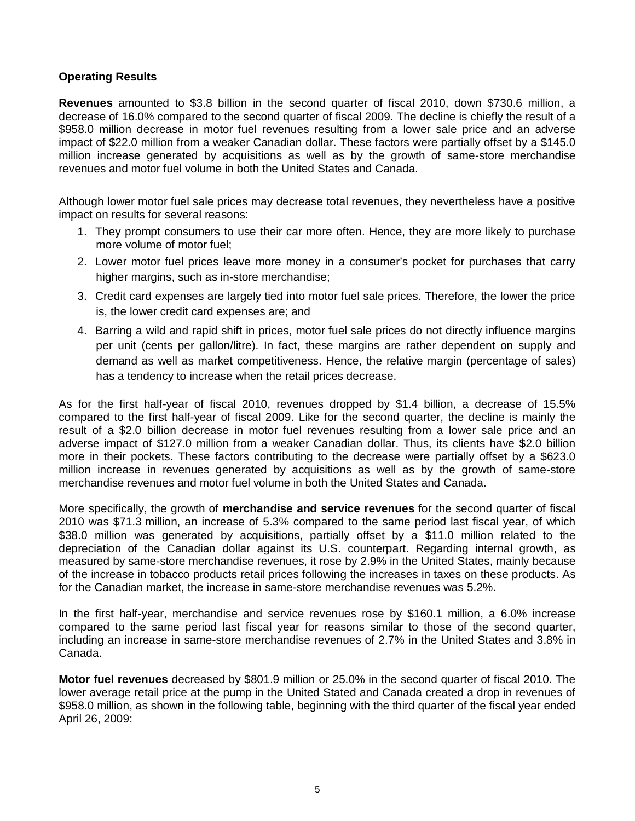# **Operating Results**

**Revenues** amounted to \$3.8 billion in the second quarter of fiscal 2010, down \$730.6 million, a decrease of 16.0% compared to the second quarter of fiscal 2009. The decline is chiefly the result of a \$958.0 million decrease in motor fuel revenues resulting from a lower sale price and an adverse impact of \$22.0 million from a weaker Canadian dollar. These factors were partially offset by a \$145.0 million increase generated by acquisitions as well as by the growth of same-store merchandise revenues and motor fuel volume in both the United States and Canada.

Although lower motor fuel sale prices may decrease total revenues, they nevertheless have a positive impact on results for several reasons:

- 1. They prompt consumers to use their car more often. Hence, they are more likely to purchase more volume of motor fuel;
- 2. Lower motor fuel prices leave more money in a consumer's pocket for purchases that carry higher margins, such as in-store merchandise;
- 3. Credit card expenses are largely tied into motor fuel sale prices. Therefore, the lower the price is, the lower credit card expenses are; and
- 4. Barring a wild and rapid shift in prices, motor fuel sale prices do not directly influence margins per unit (cents per gallon/litre). In fact, these margins are rather dependent on supply and demand as well as market competitiveness. Hence, the relative margin (percentage of sales) has a tendency to increase when the retail prices decrease.

As for the first half-year of fiscal 2010, revenues dropped by \$1.4 billion, a decrease of 15.5% compared to the first half-year of fiscal 2009. Like for the second quarter, the decline is mainly the result of a \$2.0 billion decrease in motor fuel revenues resulting from a lower sale price and an adverse impact of \$127.0 million from a weaker Canadian dollar. Thus, its clients have \$2.0 billion more in their pockets. These factors contributing to the decrease were partially offset by a \$623.0 million increase in revenues generated by acquisitions as well as by the growth of same-store merchandise revenues and motor fuel volume in both the United States and Canada.

More specifically, the growth of **merchandise and service revenues** for the second quarter of fiscal 2010 was \$71.3 million, an increase of 5.3% compared to the same period last fiscal year, of which \$38.0 million was generated by acquisitions, partially offset by a \$11.0 million related to the depreciation of the Canadian dollar against its U.S. counterpart. Regarding internal growth, as measured by same-store merchandise revenues, it rose by 2.9% in the United States, mainly because of the increase in tobacco products retail prices following the increases in taxes on these products. As for the Canadian market, the increase in same-store merchandise revenues was 5.2%.

In the first half-year, merchandise and service revenues rose by \$160.1 million, a 6.0% increase compared to the same period last fiscal year for reasons similar to those of the second quarter, including an increase in same-store merchandise revenues of 2.7% in the United States and 3.8% in Canada.

**Motor fuel revenues** decreased by \$801.9 million or 25.0% in the second quarter of fiscal 2010. The lower average retail price at the pump in the United Stated and Canada created a drop in revenues of \$958.0 million, as shown in the following table, beginning with the third quarter of the fiscal year ended April 26, 2009: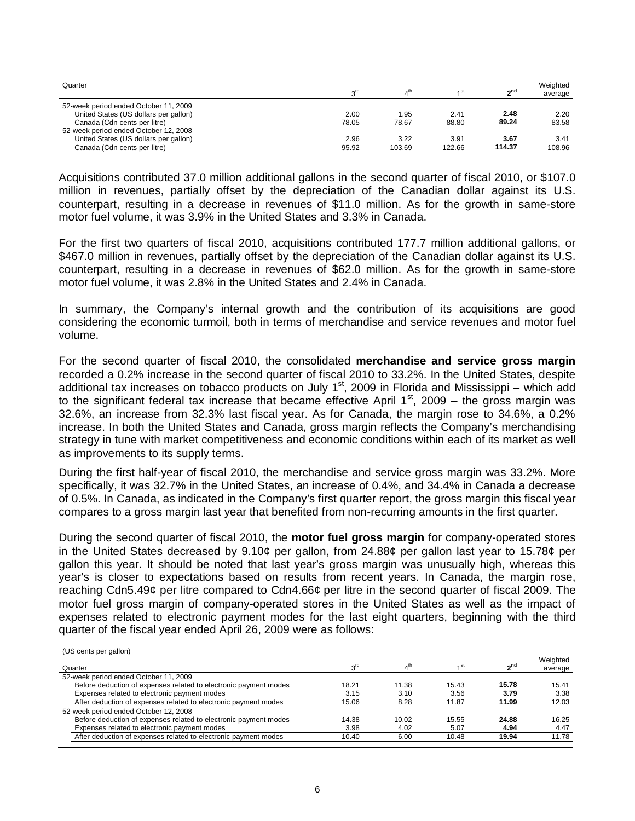| Quarter                               | $2^{\text{rd}}$ | 4 <sup>th</sup> | ⊿ St   | $\mathbf{A}^{\mathsf{nd}}$ | Weighted<br>average |
|---------------------------------------|-----------------|-----------------|--------|----------------------------|---------------------|
| 52-week period ended October 11, 2009 |                 |                 |        |                            |                     |
| United States (US dollars per gallon) | 2.00            | 1.95            | 2.41   | 2.48                       | 2.20                |
| Canada (Cdn cents per litre)          | 78.05           | 78.67           | 88.80  | 89.24                      | 83.58               |
| 52-week period ended October 12, 2008 |                 |                 |        |                            |                     |
| United States (US dollars per gallon) | 2.96            | 3.22            | 3.91   | 3.67                       | 3.41                |
| Canada (Cdn cents per litre)          | 95.92           | 103.69          | 122.66 | 114.37                     | 108.96              |

Acquisitions contributed 37.0 million additional gallons in the second quarter of fiscal 2010, or \$107.0 million in revenues, partially offset by the depreciation of the Canadian dollar against its U.S. counterpart, resulting in a decrease in revenues of \$11.0 million. As for the growth in same-store motor fuel volume, it was 3.9% in the United States and 3.3% in Canada.

For the first two quarters of fiscal 2010, acquisitions contributed 177.7 million additional gallons, or \$467.0 million in revenues, partially offset by the depreciation of the Canadian dollar against its U.S. counterpart, resulting in a decrease in revenues of \$62.0 million. As for the growth in same-store motor fuel volume, it was 2.8% in the United States and 2.4% in Canada.

In summary, the Company's internal growth and the contribution of its acquisitions are good considering the economic turmoil, both in terms of merchandise and service revenues and motor fuel volume.

For the second quarter of fiscal 2010, the consolidated **merchandise and service gross margin** recorded a 0.2% increase in the second quarter of fiscal 2010 to 33.2%. In the United States, despite additional tax increases on tobacco products on July  $1<sup>st</sup>$ , 2009 in Florida and Mississippi – which add to the significant federal tax increase that became effective April  $1<sup>st</sup>$ , 2009 – the gross margin was 32.6%, an increase from 32.3% last fiscal year. As for Canada, the margin rose to 34.6%, a 0.2% increase. In both the United States and Canada, gross margin reflects the Company's merchandising strategy in tune with market competitiveness and economic conditions within each of its market as well as improvements to its supply terms.

During the first half-year of fiscal 2010, the merchandise and service gross margin was 33.2%. More specifically, it was 32.7% in the United States, an increase of 0.4%, and 34.4% in Canada a decrease of 0.5%. In Canada, as indicated in the Company's first quarter report, the gross margin this fiscal year compares to a gross margin last year that benefited from non-recurring amounts in the first quarter.

During the second quarter of fiscal 2010, the **motor fuel gross margin** for company-operated stores in the United States decreased by 9.10¢ per gallon, from 24.88¢ per gallon last year to 15.78¢ per gallon this year. It should be noted that last year's gross margin was unusually high, whereas this year's is closer to expectations based on results from recent years. In Canada, the margin rose, reaching Cdn5.49¢ per litre compared to Cdn4.66¢ per litre in the second quarter of fiscal 2009. The motor fuel gross margin of company-operated stores in the United States as well as the impact of expenses related to electronic payment modes for the last eight quarters, beginning with the third quarter of the fiscal year ended April 26, 2009 were as follows:

| $\sim$<br>Quarter                                                | rdی   | $4^{\text{th}}$ | 4 <sup>St</sup> | <sub>2</sub> nd | Weighted<br>average |
|------------------------------------------------------------------|-------|-----------------|-----------------|-----------------|---------------------|
| 52-week period ended October 11, 2009                            |       |                 |                 |                 |                     |
| Before deduction of expenses related to electronic payment modes | 18.21 | 11.38           | 15.43           | 15.78           | 15.41               |
| Expenses related to electronic payment modes                     | 3.15  | 3.10            | 3.56            | 3.79            | 3.38                |
| After deduction of expenses related to electronic payment modes  | 15.06 | 8.28            | 11.87           | 11.99           | 12.03               |
| 52-week period ended October 12, 2008                            |       |                 |                 |                 |                     |
| Before deduction of expenses related to electronic payment modes | 14.38 | 10.02           | 15.55           | 24.88           | 16.25               |
| Expenses related to electronic payment modes                     | 3.98  | 4.02            | 5.07            | 4.94            | 4.47                |
| After deduction of expenses related to electronic payment modes  | 10.40 | 6.00            | 10.48           | 19.94           | 11.78               |

(US cents per gallon)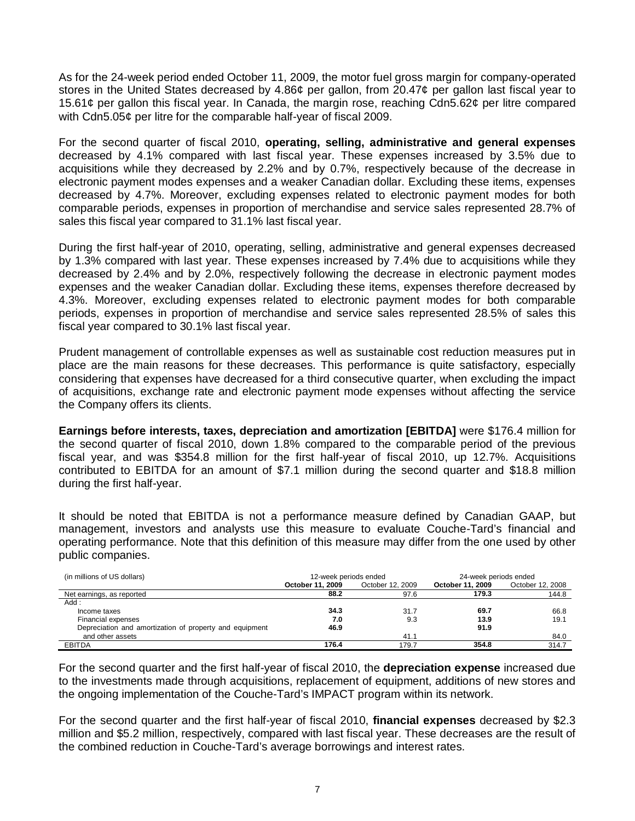As for the 24-week period ended October 11, 2009, the motor fuel gross margin for company-operated stores in the United States decreased by 4.86¢ per gallon, from 20.47¢ per gallon last fiscal year to 15.61¢ per gallon this fiscal year. In Canada, the margin rose, reaching Cdn5.62¢ per litre compared with Cdn5.05¢ per litre for the comparable half-year of fiscal 2009.

For the second quarter of fiscal 2010, **operating, selling, administrative and general expenses** decreased by 4.1% compared with last fiscal year. These expenses increased by 3.5% due to acquisitions while they decreased by 2.2% and by 0.7%, respectively because of the decrease in electronic payment modes expenses and a weaker Canadian dollar. Excluding these items, expenses decreased by 4.7%. Moreover, excluding expenses related to electronic payment modes for both comparable periods, expenses in proportion of merchandise and service sales represented 28.7% of sales this fiscal year compared to 31.1% last fiscal year.

During the first half-year of 2010, operating, selling, administrative and general expenses decreased by 1.3% compared with last year. These expenses increased by 7.4% due to acquisitions while they decreased by 2.4% and by 2.0%, respectively following the decrease in electronic payment modes expenses and the weaker Canadian dollar. Excluding these items, expenses therefore decreased by 4.3%. Moreover, excluding expenses related to electronic payment modes for both comparable periods, expenses in proportion of merchandise and service sales represented 28.5% of sales this fiscal year compared to 30.1% last fiscal year.

Prudent management of controllable expenses as well as sustainable cost reduction measures put in place are the main reasons for these decreases. This performance is quite satisfactory, especially considering that expenses have decreased for a third consecutive quarter, when excluding the impact of acquisitions, exchange rate and electronic payment mode expenses without affecting the service the Company offers its clients.

**Earnings before interests, taxes, depreciation and amortization [EBITDA]** were \$176.4 million for the second quarter of fiscal 2010, down 1.8% compared to the comparable period of the previous fiscal year, and was \$354.8 million for the first half-year of fiscal 2010, up 12.7%. Acquisitions contributed to EBITDA for an amount of \$7.1 million during the second quarter and \$18.8 million during the first half-year.

It should be noted that EBITDA is not a performance measure defined by Canadian GAAP, but management, investors and analysts use this measure to evaluate Couche-Tard's financial and operating performance. Note that this definition of this measure may differ from the one used by other public companies.

| (in millions of US dollars)                             | 12-week periods ended |                  | 24-week periods ended |                  |  |
|---------------------------------------------------------|-----------------------|------------------|-----------------------|------------------|--|
|                                                         | October 11, 2009      | October 12, 2009 | October 11, 2009      | October 12, 2008 |  |
| Net earnings, as reported                               | 88.2                  | 97.6             | 179.3                 | 144.8            |  |
| Add:                                                    |                       |                  |                       |                  |  |
| Income taxes                                            | 34.3                  | 31.7             | 69.7                  | 66.8             |  |
| Financial expenses                                      | 7.0                   | 9.3              | 13.9                  | 19.1             |  |
| Depreciation and amortization of property and equipment | 46.9                  |                  | 91.9                  |                  |  |
| and other assets                                        |                       | 41.1             |                       | 84.0             |  |
| EBITDA                                                  | 176.4                 | 179.7            | 354.8                 | 314.7            |  |

For the second quarter and the first half-year of fiscal 2010, the **depreciation expense** increased due to the investments made through acquisitions, replacement of equipment, additions of new stores and the ongoing implementation of the Couche-Tard's IMPACT program within its network.

For the second quarter and the first half-year of fiscal 2010, **financial expenses** decreased by \$2.3 million and \$5.2 million, respectively, compared with last fiscal year. These decreases are the result of the combined reduction in Couche-Tard's average borrowings and interest rates.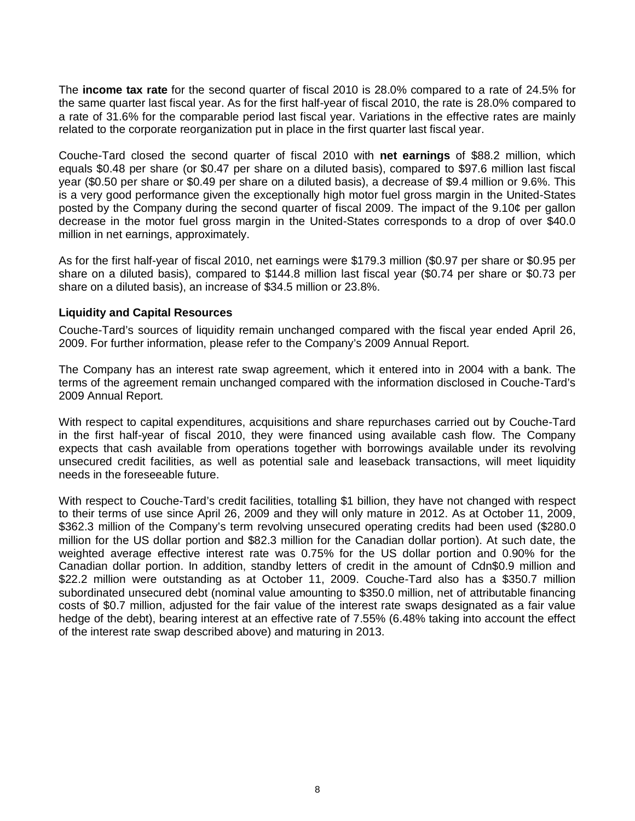The **income tax rate** for the second quarter of fiscal 2010 is 28.0% compared to a rate of 24.5% for the same quarter last fiscal year. As for the first half-year of fiscal 2010, the rate is 28.0% compared to a rate of 31.6% for the comparable period last fiscal year. Variations in the effective rates are mainly related to the corporate reorganization put in place in the first quarter last fiscal year.

Couche-Tard closed the second quarter of fiscal 2010 with **net earnings** of \$88.2 million, which equals \$0.48 per share (or \$0.47 per share on a diluted basis), compared to \$97.6 million last fiscal year (\$0.50 per share or \$0.49 per share on a diluted basis), a decrease of \$9.4 million or 9.6%. This is a very good performance given the exceptionally high motor fuel gross margin in the United-States posted by the Company during the second quarter of fiscal 2009. The impact of the 9.10¢ per gallon decrease in the motor fuel gross margin in the United-States corresponds to a drop of over \$40.0 million in net earnings, approximately.

As for the first half-year of fiscal 2010, net earnings were \$179.3 million (\$0.97 per share or \$0.95 per share on a diluted basis), compared to \$144.8 million last fiscal year (\$0.74 per share or \$0.73 per share on a diluted basis), an increase of \$34.5 million or 23.8%.

### **Liquidity and Capital Resources**

Couche-Tard's sources of liquidity remain unchanged compared with the fiscal year ended April 26, 2009. For further information, please refer to the Company's 2009 Annual Report.

The Company has an interest rate swap agreement, which it entered into in 2004 with a bank. The terms of the agreement remain unchanged compared with the information disclosed in Couche-Tard's 2009 Annual Report.

With respect to capital expenditures, acquisitions and share repurchases carried out by Couche-Tard in the first half-year of fiscal 2010, they were financed using available cash flow. The Company expects that cash available from operations together with borrowings available under its revolving unsecured credit facilities, as well as potential sale and leaseback transactions, will meet liquidity needs in the foreseeable future.

With respect to Couche-Tard's credit facilities, totalling \$1 billion, they have not changed with respect to their terms of use since April 26, 2009 and they will only mature in 2012. As at October 11, 2009, \$362.3 million of the Company's term revolving unsecured operating credits had been used (\$280.0) million for the US dollar portion and \$82.3 million for the Canadian dollar portion). At such date, the weighted average effective interest rate was 0.75% for the US dollar portion and 0.90% for the Canadian dollar portion. In addition, standby letters of credit in the amount of Cdn\$0.9 million and \$22.2 million were outstanding as at October 11, 2009. Couche-Tard also has a \$350.7 million subordinated unsecured debt (nominal value amounting to \$350.0 million, net of attributable financing costs of \$0.7 million, adjusted for the fair value of the interest rate swaps designated as a fair value hedge of the debt), bearing interest at an effective rate of 7.55% (6.48% taking into account the effect of the interest rate swap described above) and maturing in 2013.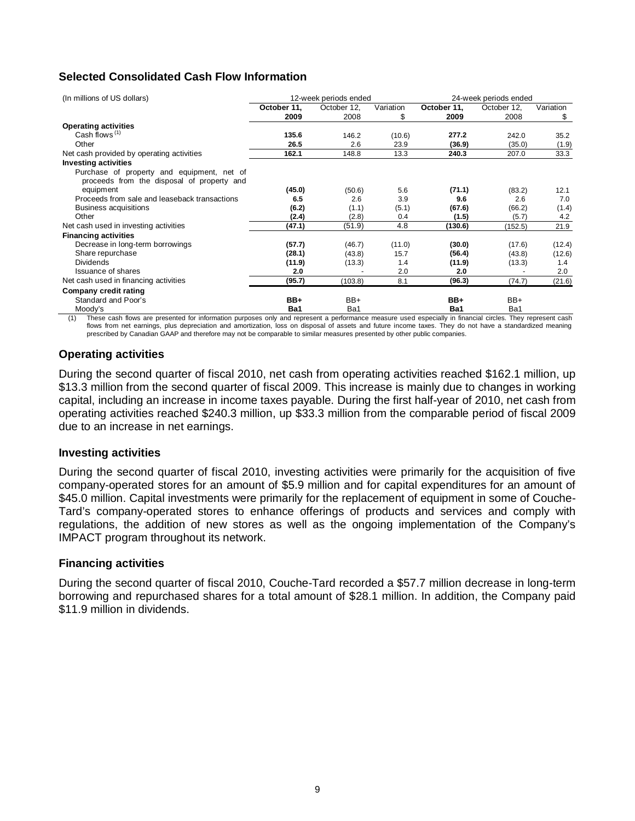# **Selected Consolidated Cash Flow Information**

| (In millions of US dollars)                                                              |             | 12-week periods ended |           | 24-week periods ended |             |           |  |
|------------------------------------------------------------------------------------------|-------------|-----------------------|-----------|-----------------------|-------------|-----------|--|
|                                                                                          | October 11. | October 12,           | Variation | October 11,           | October 12, | Variation |  |
|                                                                                          | 2009        | 2008                  | \$        | 2009                  | 2008        | \$        |  |
| <b>Operating activities</b>                                                              |             |                       |           |                       |             |           |  |
| Cash flows <sup>(1)</sup>                                                                | 135.6       | 146.2                 | (10.6)    | 277.2                 | 242.0       | 35.2      |  |
| Other                                                                                    | 26.5        | 2.6                   | 23.9      | (36.9)                | (35.0)      | (1.9)     |  |
| Net cash provided by operating activities                                                | 162.1       | 148.8                 | 13.3      | 240.3                 | 207.0       | 33.3      |  |
| <b>Investing activities</b>                                                              |             |                       |           |                       |             |           |  |
| Purchase of property and equipment, net of<br>proceeds from the disposal of property and |             |                       |           |                       |             |           |  |
| equipment                                                                                | (45.0)      | (50.6)                | 5.6       | (71.1)                | (83.2)      | 12.1      |  |
| Proceeds from sale and leaseback transactions                                            | 6.5         | 2.6                   | 3.9       | 9.6                   | 2.6         | 7.0       |  |
| Business acquisitions                                                                    | (6.2)       | (1.1)                 | (5.1)     | (67.6)                | (66.2)      | (1.4)     |  |
| Other                                                                                    | (2.4)       | (2.8)                 | 0.4       | (1.5)                 | (5.7)       | 4.2       |  |
| Net cash used in investing activities                                                    | (47.1)      | (51.9)                | 4.8       | (130.6)               | (152.5)     | 21.9      |  |
| <b>Financing activities</b>                                                              |             |                       |           |                       |             |           |  |
| Decrease in long-term borrowings                                                         | (57.7)      | (46.7)                | (11.0)    | (30.0)                | (17.6)      | (12.4)    |  |
| Share repurchase                                                                         | (28.1)      | (43.8)                | 15.7      | (56.4)                | (43.8)      | (12.6)    |  |
| <b>Dividends</b>                                                                         | (11.9)      | (13.3)                | 1.4       | (11.9)                | (13.3)      | 1.4       |  |
| Issuance of shares                                                                       | 2.0         |                       | 2.0       | 2.0                   |             | 2.0       |  |
| Net cash used in financing activities                                                    | (95.7)      | (103.8)               | 8.1       | (96.3)                | (74.7)      | (21.6)    |  |
| Company credit rating                                                                    |             |                       |           |                       |             |           |  |
| Standard and Poor's                                                                      | BB+         | BB+                   |           | BB+                   | BB+         |           |  |
| Moody's                                                                                  | Ba1         | Ba1                   |           | Ba1                   | Ba1         |           |  |

(1) These cash flows are presented for information purposes only and represent a performance measure used especially in financial circles. They represent cash flows from net earnings, plus depreciation and amortization, loss on disposal of assets and future income taxes. They do not have a standardized meaning prescribed by Canadian GAAP and therefore may not be comparable to similar measures presented by other public companies.

# **Operating activities**

During the second quarter of fiscal 2010, net cash from operating activities reached \$162.1 million, up \$13.3 million from the second quarter of fiscal 2009. This increase is mainly due to changes in working capital, including an increase in income taxes payable. During the first half-year of 2010, net cash from operating activities reached \$240.3 million, up \$33.3 million from the comparable period of fiscal 2009 due to an increase in net earnings.

### **Investing activities**

During the second quarter of fiscal 2010, investing activities were primarily for the acquisition of five company-operated stores for an amount of \$5.9 million and for capital expenditures for an amount of \$45.0 million. Capital investments were primarily for the replacement of equipment in some of Couche-Tard's company-operated stores to enhance offerings of products and services and comply with regulations, the addition of new stores as well as the ongoing implementation of the Company's IMPACT program throughout its network.

### **Financing activities**

During the second quarter of fiscal 2010, Couche-Tard recorded a \$57.7 million decrease in long-term borrowing and repurchased shares for a total amount of \$28.1 million. In addition, the Company paid \$11.9 million in dividends.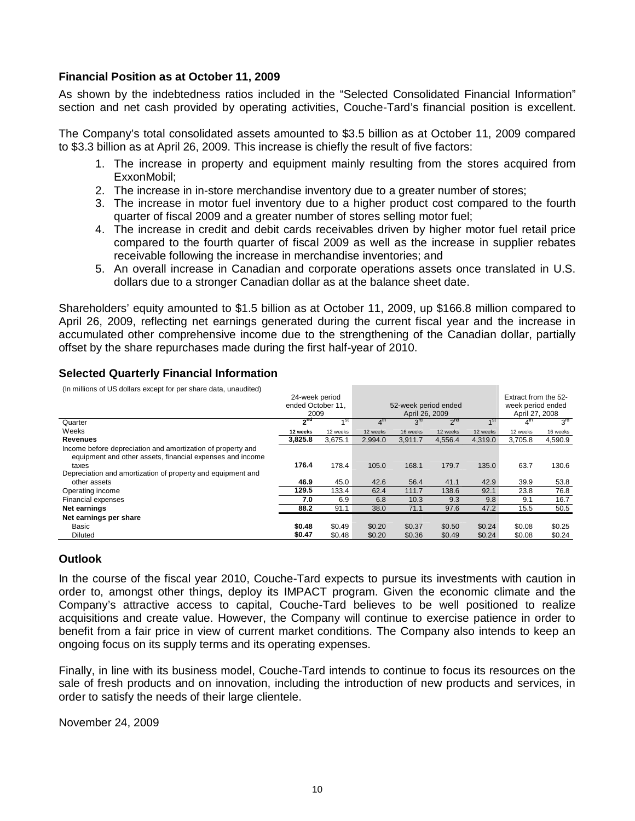# **Financial Position as at October 11, 2009**

As shown by the indebtedness ratios included in the "Selected Consolidated Financial Information" section and net cash provided by operating activities, Couche-Tard's financial position is excellent.

The Company's total consolidated assets amounted to \$3.5 billion as at October 11, 2009 compared to \$3.3 billion as at April 26, 2009. This increase is chiefly the result of five factors:

- 1. The increase in property and equipment mainly resulting from the stores acquired from ExxonMobil;
- 2. The increase in in-store merchandise inventory due to a greater number of stores;
- 3. The increase in motor fuel inventory due to a higher product cost compared to the fourth quarter of fiscal 2009 and a greater number of stores selling motor fuel;
- 4. The increase in credit and debit cards receivables driven by higher motor fuel retail price compared to the fourth quarter of fiscal 2009 as well as the increase in supplier rebates receivable following the increase in merchandise inventories; and
- 5. An overall increase in Canadian and corporate operations assets once translated in U.S. dollars due to a stronger Canadian dollar as at the balance sheet date.

Shareholders' equity amounted to \$1.5 billion as at October 11, 2009, up \$166.8 million compared to April 26, 2009, reflecting net earnings generated during the current fiscal year and the increase in accumulated other comprehensive income due to the strengthening of the Canadian dollar, partially offset by the share repurchases made during the first half-year of 2010.

# **Selected Quarterly Financial Information**

(In millions of US dollars except for per share data, unaudited)

|                                                                                                                                                                                                  | 24-week period<br>ended October 11,<br>2009 |          | 52-week period ended<br>April 26, 2009 |                 |                 |          | Extract from the 52-<br>week period ended<br>April 27, 2008 |          |
|--------------------------------------------------------------------------------------------------------------------------------------------------------------------------------------------------|---------------------------------------------|----------|----------------------------------------|-----------------|-----------------|----------|-------------------------------------------------------------|----------|
| Quarter                                                                                                                                                                                          | 2 <sup>nd</sup>                             | st،      |                                        | $3^{\text{rd}}$ | 2 <sub>nd</sub> |          |                                                             | $3^{rd}$ |
| Weeks                                                                                                                                                                                            | 12 weeks                                    | 12 weeks | 12 weeks                               | 16 weeks        | 12 weeks        | 12 weeks | 12 weeks                                                    | 16 weeks |
| Revenues                                                                                                                                                                                         | 3,825.8                                     | 3.675.1  | 2.994.0                                | 3,911.7         | 4,556.4         | 4.319.0  | 3,705.8                                                     | 4,590.9  |
| Income before depreciation and amortization of property and<br>equipment and other assets, financial expenses and income<br>taxes<br>Depreciation and amortization of property and equipment and | 176.4                                       | 178.4    | 105.0                                  | 168.1           | 179.7           | 135.0    | 63.7                                                        | 130.6    |
| other assets                                                                                                                                                                                     | 46.9                                        | 45.0     | 42.6                                   | 56.4            | 41.1            | 42.9     | 39.9                                                        | 53.8     |
| Operating income                                                                                                                                                                                 | 129.5                                       | 133.4    | 62.4                                   | 111.7           | 138.6           | 92.1     | 23.8                                                        | 76.8     |
| <b>Financial expenses</b>                                                                                                                                                                        | 7.0                                         | 6.9      | 6.8                                    | 10.3            | 9.3             | 9.8      | 9.1                                                         | 16.7     |
| Net earnings                                                                                                                                                                                     | 88.2                                        | 91.1     | 38.0                                   | 71.1            | 97.6            | 47.2     | 15.5                                                        | 50.5     |
| Net earnings per share                                                                                                                                                                           |                                             |          |                                        |                 |                 |          |                                                             |          |
| Basic                                                                                                                                                                                            | \$0.48                                      | \$0.49   | \$0.20                                 | \$0.37          | \$0.50          | \$0.24   | \$0.08                                                      | \$0.25   |
| <b>Diluted</b>                                                                                                                                                                                   | \$0.47                                      | \$0.48   | \$0.20                                 | \$0.36          | \$0.49          | \$0.24   | \$0.08                                                      | \$0.24   |

### **Outlook**

In the course of the fiscal year 2010, Couche-Tard expects to pursue its investments with caution in order to, amongst other things, deploy its IMPACT program. Given the economic climate and the Company's attractive access to capital, Couche-Tard believes to be well positioned to realize acquisitions and create value. However, the Company will continue to exercise patience in order to benefit from a fair price in view of current market conditions. The Company also intends to keep an ongoing focus on its supply terms and its operating expenses.

Finally, in line with its business model, Couche-Tard intends to continue to focus its resources on the sale of fresh products and on innovation, including the introduction of new products and services, in order to satisfy the needs of their large clientele.

November 24, 2009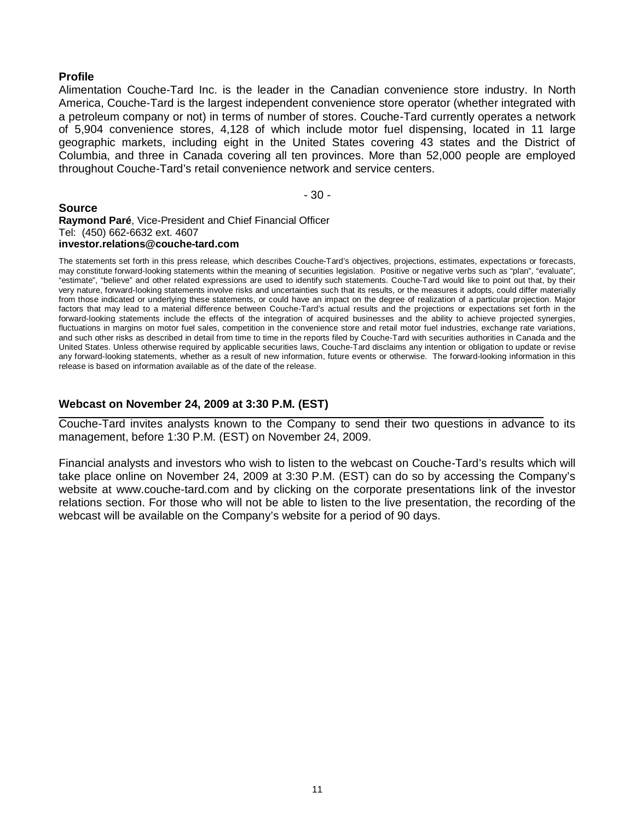### **Profile**

Alimentation Couche-Tard Inc. is the leader in the Canadian convenience store industry. In North America, Couche-Tard is the largest independent convenience store operator (whether integrated with a petroleum company or not) in terms of number of stores. Couche-Tard currently operates a network of 5,904 convenience stores, 4,128 of which include motor fuel dispensing, located in 11 large geographic markets, including eight in the United States covering 43 states and the District of Columbia, and three in Canada covering all ten provinces. More than 52,000 people are employed throughout Couche-Tard's retail convenience network and service centers.

- 30 -

### **Source Raymond Paré**, Vice-President and Chief Financial Officer Tel: (450) 662-6632 ext. 4607 **investor.relations@couche-tard.com**

The statements set forth in this press release, which describes Couche-Tard's objectives, projections, estimates, expectations or forecasts, may constitute forward-looking statements within the meaning of securities legislation. Positive or negative verbs such as "plan", "evaluate", "estimate", "believe" and other related expressions are used to identify such statements. Couche-Tard would like to point out that, by their very nature, forward-looking statements involve risks and uncertainties such that its results, or the measures it adopts, could differ materially from those indicated or underlying these statements, or could have an impact on the degree of realization of a particular projection. Major factors that may lead to a material difference between Couche-Tard's actual results and the projections or expectations set forth in the forward-looking statements include the effects of the integration of acquired businesses and the ability to achieve projected synergies, fluctuations in margins on motor fuel sales, competition in the convenience store and retail motor fuel industries, exchange rate variations, and such other risks as described in detail from time to time in the reports filed by Couche-Tard with securities authorities in Canada and the United States. Unless otherwise required by applicable securities laws, Couche-Tard disclaims any intention or obligation to update or revise any forward-looking statements, whether as a result of new information, future events or otherwise. The forward-looking information in this release is based on information available as of the date of the release.

# **Webcast on November 24, 2009 at 3:30 P.M. (EST)**

Couche-Tard invites analysts known to the Company to send their two questions in advance to its management, before 1:30 P.M. (EST) on November 24, 2009.

Financial analysts and investors who wish to listen to the webcast on Couche-Tard's results which will take place online on November 24, 2009 at 3:30 P.M. (EST) can do so by accessing the Company's website at www.couche-tard.com and by clicking on the corporate presentations link of the investor relations section. For those who will not be able to listen to the live presentation, the recording of the webcast will be available on the Company's website for a period of 90 days.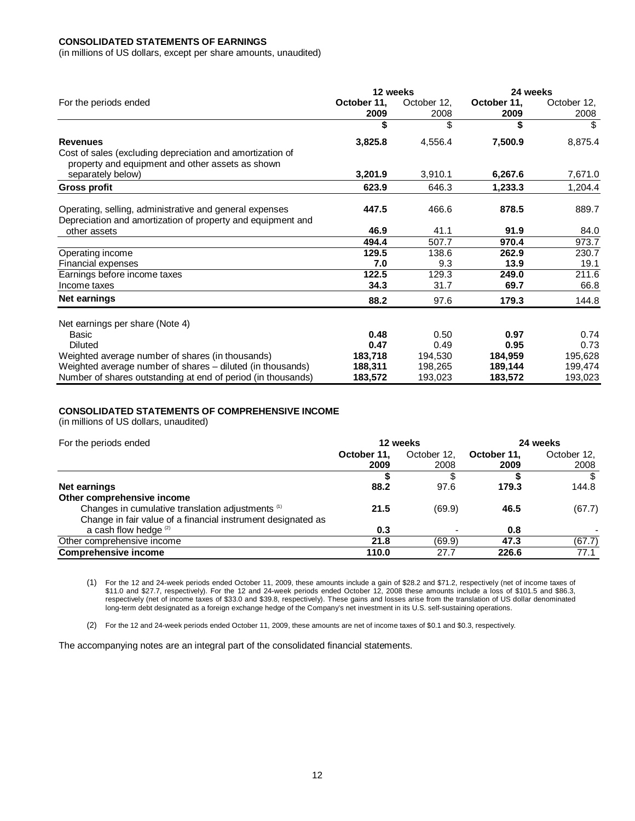### **CONSOLIDATED STATEMENTS OF EARNINGS**

(in millions of US dollars, except per share amounts, unaudited)

|                                                                                                                        |             | 12 weeks    | 24 weeks    |             |  |
|------------------------------------------------------------------------------------------------------------------------|-------------|-------------|-------------|-------------|--|
| For the periods ended                                                                                                  | October 11, | October 12, | October 11, | October 12, |  |
|                                                                                                                        | 2009        | 2008        | 2009        | 2008        |  |
|                                                                                                                        | \$          | \$          | \$          | \$          |  |
| <b>Revenues</b>                                                                                                        | 3,825.8     | 4,556.4     | 7,500.9     | 8,875.4     |  |
| Cost of sales (excluding depreciation and amortization of<br>property and equipment and other assets as shown          |             |             |             |             |  |
| separately below)                                                                                                      | 3,201.9     | 3,910.1     | 6,267.6     | 7,671.0     |  |
| <b>Gross profit</b>                                                                                                    | 623.9       | 646.3       | 1,233.3     | 1,204.4     |  |
| Operating, selling, administrative and general expenses<br>Depreciation and amortization of property and equipment and | 447.5       | 466.6       | 878.5       | 889.7       |  |
| other assets                                                                                                           | 46.9        | 41.1        | 91.9        | 84.0        |  |
|                                                                                                                        | 494.4       | 507.7       | 970.4       | 973.7       |  |
| Operating income                                                                                                       | 129.5       | 138.6       | 262.9       | 230.7       |  |
| Financial expenses                                                                                                     | 7.0         | 9.3         | 13.9        | 19.1        |  |
| Earnings before income taxes                                                                                           | 122.5       | 129.3       | 249.0       | 211.6       |  |
| Income taxes                                                                                                           | 34.3        | 31.7        | 69.7        | 66.8        |  |
| <b>Net earnings</b>                                                                                                    | 88.2        | 97.6        | 179.3       | 144.8       |  |
| Net earnings per share (Note 4)                                                                                        |             |             |             |             |  |
| Basic                                                                                                                  | 0.48        | 0.50        | 0.97        | 0.74        |  |
| <b>Diluted</b>                                                                                                         | 0.47        | 0.49        | 0.95        | 0.73        |  |
| Weighted average number of shares (in thousands)                                                                       | 183,718     | 194,530     | 184,959     | 195,628     |  |
| Weighted average number of shares - diluted (in thousands)                                                             | 188,311     | 198,265     | 189,144     | 199,474     |  |
| Number of shares outstanding at end of period (in thousands)                                                           | 183,572     | 193,023     | 183,572     | 193,023     |  |

### **CONSOLIDATED STATEMENTS OF COMPREHENSIVE INCOME**

(in millions of US dollars, unaudited)

| For the periods ended                                        |             | 12 weeks    | 24 weeks    |             |  |
|--------------------------------------------------------------|-------------|-------------|-------------|-------------|--|
|                                                              | October 11. | October 12. | October 11. | October 12. |  |
|                                                              | 2009        | 2008        | 2009        | 2008        |  |
|                                                              |             |             |             |             |  |
| Net earnings                                                 | 88.2        | 97.6        | 179.3       | 144.8       |  |
| Other comprehensive income                                   |             |             |             |             |  |
| Changes in cumulative translation adjustments <sup>(1)</sup> | 21.5        | (69.9)      | 46.5        | (67.7)      |  |
| Change in fair value of a financial instrument designated as |             |             |             |             |  |
| a cash flow hedge $(2)$                                      | 0.3         |             | 0.8         |             |  |
| Other comprehensive income                                   | 21.8        | (69.9)      | 47.3        | (67.7)      |  |
| <b>Comprehensive income</b>                                  | 110.0       | 27.7        | 226.6       | 77.1        |  |

(1) For the 12 and 24-week periods ended October 11, 2009, these amounts include a gain of \$28.2 and \$71.2, respectively (net of income taxes of \$11.0 and \$27.7, respectively). For the 12 and 24-week periods ended October 12, 2008 these amounts include a loss of \$101.5 and \$86.3, respectively (net of income taxes of \$33.0 and \$39.8, respectively). These gains and losses arise from the translation of US dollar denominated long-term debt designated as a foreign exchange hedge of the Company's net investment in its U.S. self-sustaining operations.

(2) For the 12 and 24-week periods ended October 11, 2009, these amounts are net of income taxes of \$0.1 and \$0.3, respectively.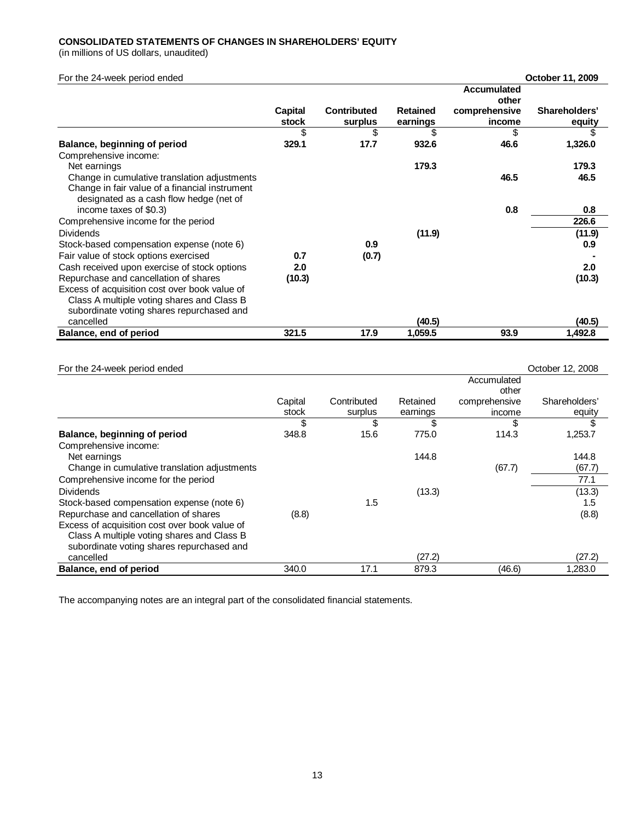### **CONSOLIDATED STATEMENTS OF CHANGES IN SHAREHOLDERS' EQUITY**

(in millions of US dollars, unaudited)

| For the 24-week period ended                   |         |                    |          |                    | October 11, 2009 |
|------------------------------------------------|---------|--------------------|----------|--------------------|------------------|
|                                                |         |                    |          | <b>Accumulated</b> |                  |
|                                                |         |                    |          | other              |                  |
|                                                | Capital | <b>Contributed</b> | Retained | comprehensive      | Shareholders'    |
|                                                | stock   | surplus            | earnings | income             | equity           |
|                                                | \$      | \$                 | \$       | \$                 | \$               |
| Balance, beginning of period                   | 329.1   | 17.7               | 932.6    | 46.6               | 1,326.0          |
| Comprehensive income:                          |         |                    |          |                    |                  |
| Net earnings                                   |         |                    | 179.3    |                    | 179.3            |
| Change in cumulative translation adjustments   |         |                    |          | 46.5               | 46.5             |
| Change in fair value of a financial instrument |         |                    |          |                    |                  |
| designated as a cash flow hedge (net of        |         |                    |          |                    |                  |
| income taxes of \$0.3)                         |         |                    |          | 0.8                | 0.8              |
| Comprehensive income for the period            |         |                    |          |                    | 226.6            |
| <b>Dividends</b>                               |         |                    | (11.9)   |                    | (11.9)           |
| Stock-based compensation expense (note 6)      |         | 0.9                |          |                    | 0.9              |
| Fair value of stock options exercised          | 0.7     | (0.7)              |          |                    |                  |
| Cash received upon exercise of stock options   | 2.0     |                    |          |                    | 2.0              |
| Repurchase and cancellation of shares          | (10.3)  |                    |          |                    | (10.3)           |
| Excess of acquisition cost over book value of  |         |                    |          |                    |                  |
| Class A multiple voting shares and Class B     |         |                    |          |                    |                  |
| subordinate voting shares repurchased and      |         |                    |          |                    |                  |
| cancelled                                      |         |                    | (40.5)   |                    | (40.5)           |
| Balance, end of period                         | 321.5   | 17.9               | 1,059.5  | 93.9               | 1,492.8          |

| For the 24-week period ended                  |         |             |          |               | October 12, 2008 |
|-----------------------------------------------|---------|-------------|----------|---------------|------------------|
|                                               |         |             |          | Accumulated   |                  |
|                                               |         |             |          | other         |                  |
|                                               | Capital | Contributed | Retained | comprehensive | Shareholders'    |
|                                               | stock   | surplus     | earnings | income        | equity           |
|                                               | \$      | \$          | \$       | \$            | \$               |
| Balance, beginning of period                  | 348.8   | 15.6        | 775.0    | 114.3         | 1,253.7          |
| Comprehensive income:                         |         |             |          |               |                  |
| Net earnings                                  |         |             | 144.8    |               | 144.8            |
| Change in cumulative translation adjustments  |         |             |          | (67.7)        | (67.7)           |
| Comprehensive income for the period           |         |             |          |               | 77.1             |
| <b>Dividends</b>                              |         |             | (13.3)   |               | (13.3)           |
| Stock-based compensation expense (note 6)     |         | 1.5         |          |               | 1.5              |
| Repurchase and cancellation of shares         | (8.8)   |             |          |               | (8.8)            |
| Excess of acquisition cost over book value of |         |             |          |               |                  |
| Class A multiple voting shares and Class B    |         |             |          |               |                  |
| subordinate voting shares repurchased and     |         |             |          |               |                  |
| cancelled                                     |         |             | (27.2)   |               | (27.2)           |
| Balance, end of period                        | 340.0   | 17.1        | 879.3    | (46.6)        | 1,283.0          |
|                                               |         |             |          |               |                  |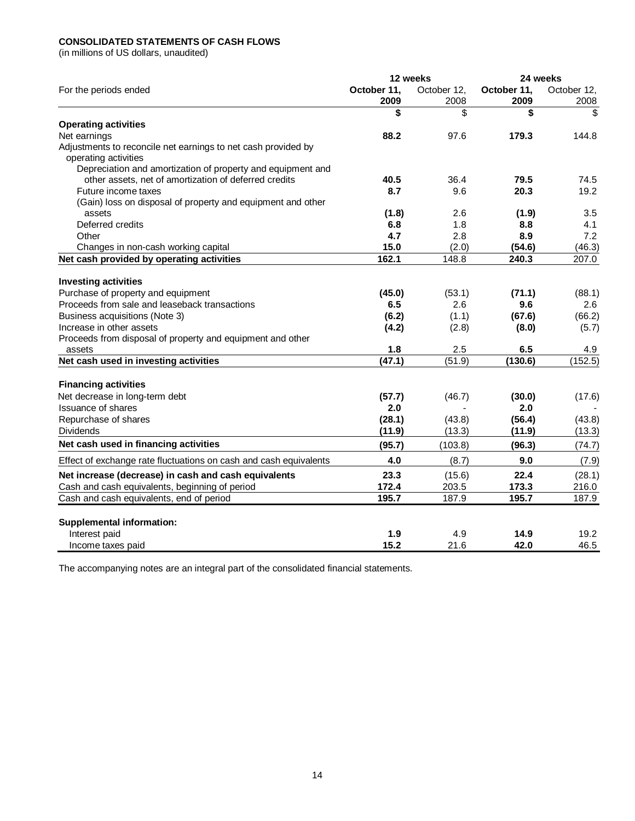### **CONSOLIDATED STATEMENTS OF CASH FLOWS**

(in millions of US dollars, unaudited)

|                                                                   |               | 12 weeks    | 24 weeks    |             |  |
|-------------------------------------------------------------------|---------------|-------------|-------------|-------------|--|
| For the periods ended                                             | October 11,   | October 12, | October 11, | October 12, |  |
|                                                                   | 2009          | 2008        | 2009        | 2008        |  |
|                                                                   | \$            | \$          | \$          | \$          |  |
| <b>Operating activities</b>                                       |               |             |             |             |  |
| Net earnings                                                      | 88.2          | 97.6        | 179.3       | 144.8       |  |
| Adjustments to reconcile net earnings to net cash provided by     |               |             |             |             |  |
| operating activities                                              |               |             |             |             |  |
| Depreciation and amortization of property and equipment and       |               |             |             |             |  |
| other assets, net of amortization of deferred credits             | 40.5          | 36.4        | 79.5        | 74.5        |  |
| Future income taxes                                               | 8.7           | 9.6         | 20.3        | 19.2        |  |
| (Gain) loss on disposal of property and equipment and other       |               |             |             |             |  |
| assets                                                            | (1.8)         | 2.6         | (1.9)       | 3.5         |  |
| Deferred credits                                                  | 6.8           | 1.8         | 8.8         | 4.1         |  |
| Other                                                             | 4.7           | 2.8         | 8.9         | 7.2         |  |
| Changes in non-cash working capital                               | 15.0          | (2.0)       | (54.6)      | (46.3)      |  |
| Net cash provided by operating activities                         | 162.1         | 148.8       | 240.3       | 207.0       |  |
|                                                                   |               |             |             |             |  |
| <b>Investing activities</b>                                       |               |             |             |             |  |
| Purchase of property and equipment                                | (45.0)        | (53.1)      | (71.1)      | (88.1)      |  |
| Proceeds from sale and leaseback transactions                     | 6.5           | 2.6         | 9.6         | 2.6         |  |
| Business acquisitions (Note 3)                                    | (6.2)         | (1.1)       | (67.6)      | (66.2)      |  |
| Increase in other assets                                          | (4.2)         | (2.8)       | (8.0)       | (5.7)       |  |
| Proceeds from disposal of property and equipment and other        |               |             |             |             |  |
| assets                                                            | 1.8           | 2.5         | 6.5         | 4.9         |  |
| Net cash used in investing activities                             | (47.1)        | (51.9)      | (130.6)     | (152.5)     |  |
|                                                                   |               |             |             |             |  |
| <b>Financing activities</b><br>Net decrease in long-term debt     |               |             | (30.0)      |             |  |
| <b>Issuance of shares</b>                                         | (57.7)<br>2.0 | (46.7)      | 2.0         | (17.6)      |  |
| Repurchase of shares                                              | (28.1)        | (43.8)      | (56.4)      | (43.8)      |  |
| <b>Dividends</b>                                                  | (11.9)        |             | (11.9)      |             |  |
|                                                                   |               | (13.3)      |             | (13.3)      |  |
| Net cash used in financing activities                             | (95.7)        | (103.8)     | (96.3)      | (74.7)      |  |
| Effect of exchange rate fluctuations on cash and cash equivalents | 4.0           | (8.7)       | 9.0         | (7.9)       |  |
| Net increase (decrease) in cash and cash equivalents              | 23.3          | (15.6)      | 22.4        | (28.1)      |  |
| Cash and cash equivalents, beginning of period                    | 172.4         | 203.5       | 173.3       | 216.0       |  |
| Cash and cash equivalents, end of period                          | 195.7         | 187.9       | 195.7       | 187.9       |  |
|                                                                   |               |             |             |             |  |
| <b>Supplemental information:</b>                                  |               |             |             |             |  |
| Interest paid                                                     | 1.9           | 4.9         | 14.9        | 19.2        |  |
| Income taxes paid                                                 | 15.2          | 21.6        | 42.0        | 46.5        |  |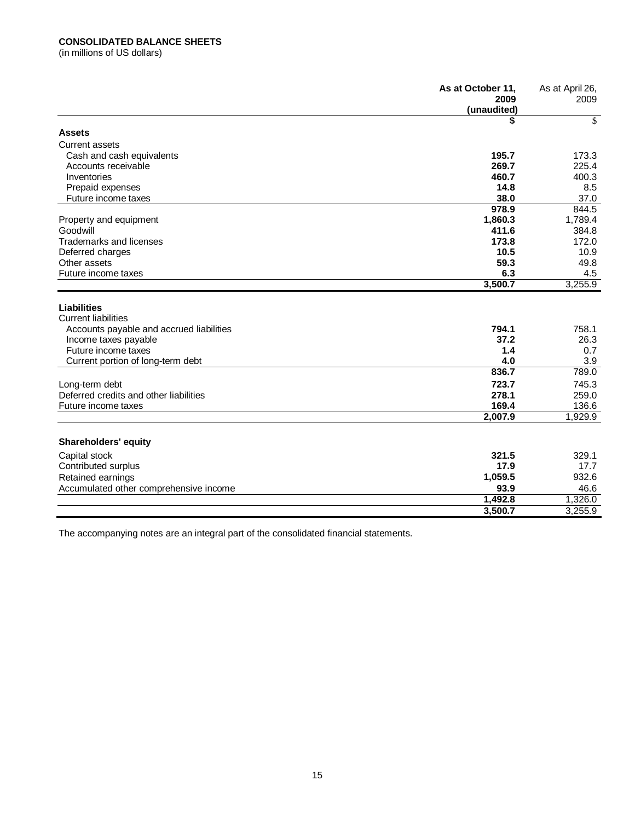#### **CONSOLIDATED BALANCE SHEETS**

(in millions of US dollars)

|                                                                                                                                                                                  | As at October 11,<br>2009<br>(unaudited) | As at April 26,<br>2009              |
|----------------------------------------------------------------------------------------------------------------------------------------------------------------------------------|------------------------------------------|--------------------------------------|
| <b>Assets</b>                                                                                                                                                                    | S                                        | \$                                   |
|                                                                                                                                                                                  |                                          |                                      |
| <b>Current assets</b><br>Cash and cash equivalents                                                                                                                               | 195.7                                    | 173.3                                |
| Accounts receivable                                                                                                                                                              | 269.7                                    | 225.4                                |
| Inventories                                                                                                                                                                      | 460.7                                    | 400.3                                |
| Prepaid expenses                                                                                                                                                                 | 14.8                                     | 8.5                                  |
| Future income taxes                                                                                                                                                              | 38.0                                     | 37.0                                 |
|                                                                                                                                                                                  | 978.9                                    | 844.5                                |
| Property and equipment                                                                                                                                                           | 1,860.3                                  | 1,789.4                              |
| Goodwill                                                                                                                                                                         | 411.6                                    | 384.8                                |
| <b>Trademarks and licenses</b>                                                                                                                                                   | 173.8                                    | 172.0                                |
| Deferred charges                                                                                                                                                                 | 10.5                                     | 10.9                                 |
| Other assets                                                                                                                                                                     | 59.3                                     | 49.8                                 |
| Future income taxes                                                                                                                                                              | 6.3                                      | 4.5                                  |
|                                                                                                                                                                                  | 3,500.7                                  | 3,255.9                              |
| <b>Liabilities</b><br><b>Current liabilities</b><br>Accounts payable and accrued liabilities<br>Income taxes payable<br>Future income taxes<br>Current portion of long-term debt | 794.1<br>37.2<br>1.4<br>4.0<br>836.7     | 758.1<br>26.3<br>0.7<br>3.9<br>789.0 |
|                                                                                                                                                                                  | 723.7                                    | 745.3                                |
| Long-term debt<br>Deferred credits and other liabilities                                                                                                                         | 278.1                                    | 259.0                                |
| Future income taxes                                                                                                                                                              | 169.4                                    | 136.6                                |
|                                                                                                                                                                                  | 2,007.9                                  | 1,929.9                              |
|                                                                                                                                                                                  |                                          |                                      |
| <b>Shareholders' equity</b>                                                                                                                                                      |                                          |                                      |
| Capital stock                                                                                                                                                                    | 321.5                                    | 329.1                                |
| Contributed surplus                                                                                                                                                              | 17.9                                     | 17.7                                 |
| Retained earnings                                                                                                                                                                | 1,059.5                                  | 932.6                                |
| Accumulated other comprehensive income                                                                                                                                           | 93.9                                     | 46.6                                 |
|                                                                                                                                                                                  | 1,492.8                                  | 1,326.0                              |
|                                                                                                                                                                                  | 3,500.7                                  | 3,255.9                              |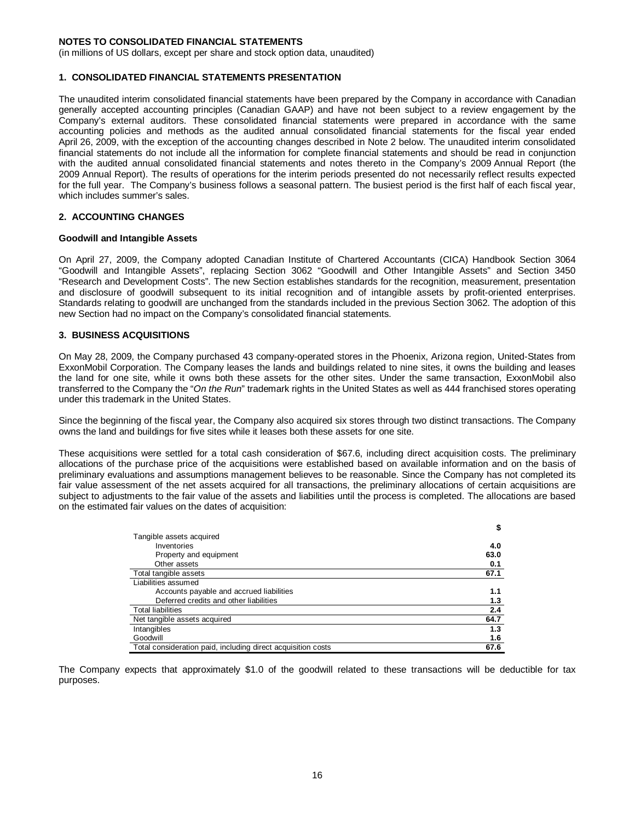(in millions of US dollars, except per share and stock option data, unaudited)

#### **1. CONSOLIDATED FINANCIAL STATEMENTS PRESENTATION**

The unaudited interim consolidated financial statements have been prepared by the Company in accordance with Canadian generally accepted accounting principles (Canadian GAAP) and have not been subject to a review engagement by the Company's external auditors. These consolidated financial statements were prepared in accordance with the same accounting policies and methods as the audited annual consolidated financial statements for the fiscal year ended April 26, 2009, with the exception of the accounting changes described in Note 2 below. The unaudited interim consolidated financial statements do not include all the information for complete financial statements and should be read in conjunction with the audited annual consolidated financial statements and notes thereto in the Company's 2009 Annual Report (the 2009 Annual Report). The results of operations for the interim periods presented do not necessarily reflect results expected for the full year. The Company's business follows a seasonal pattern. The busiest period is the first half of each fiscal year, which includes summer's sales.

### **2. ACCOUNTING CHANGES**

#### **Goodwill and Intangible Assets**

On April 27, 2009, the Company adopted Canadian Institute of Chartered Accountants (CICA) Handbook Section 3064 "Goodwill and Intangible Assets", replacing Section 3062 "Goodwill and Other Intangible Assets" and Section 3450 "Research and Development Costs". The new Section establishes standards for the recognition, measurement, presentation and disclosure of goodwill subsequent to its initial recognition and of intangible assets by profit-oriented enterprises. Standards relating to goodwill are unchanged from the standards included in the previous Section 3062. The adoption of this new Section had no impact on the Company's consolidated financial statements.

#### **3. BUSINESS ACQUISITIONS**

On May 28, 2009, the Company purchased 43 company-operated stores in the Phoenix, Arizona region, United-States from ExxonMobil Corporation. The Company leases the lands and buildings related to nine sites, it owns the building and leases the land for one site, while it owns both these assets for the other sites. Under the same transaction, ExxonMobil also transferred to the Company the "*On the Run*" trademark rights in the United States as well as 444 franchised stores operating under this trademark in the United States.

Since the beginning of the fiscal year, the Company also acquired six stores through two distinct transactions. The Company owns the land and buildings for five sites while it leases both these assets for one site.

These acquisitions were settled for a total cash consideration of \$67.6, including direct acquisition costs. The preliminary allocations of the purchase price of the acquisitions were established based on available information and on the basis of preliminary evaluations and assumptions management believes to be reasonable. Since the Company has not completed its fair value assessment of the net assets acquired for all transactions, the preliminary allocations of certain acquisitions are subject to adjustments to the fair value of the assets and liabilities until the process is completed. The allocations are based on the estimated fair values on the dates of acquisition:

|                                                              | \$   |
|--------------------------------------------------------------|------|
| Tangible assets acquired                                     |      |
| Inventories                                                  | 4.0  |
| Property and equipment                                       | 63.0 |
| Other assets                                                 | 0.1  |
| Total tangible assets                                        | 67.1 |
| Liabilities assumed                                          |      |
| Accounts payable and accrued liabilities                     | 1.1  |
| Deferred credits and other liabilities                       | 1.3  |
| <b>Total liabilities</b>                                     | 2.4  |
| Net tangible assets acquired                                 | 64.7 |
| Intangibles                                                  | 1.3  |
| Goodwill                                                     | 1.6  |
| Total consideration paid, including direct acquisition costs | 67.6 |

The Company expects that approximately \$1.0 of the goodwill related to these transactions will be deductible for tax purposes.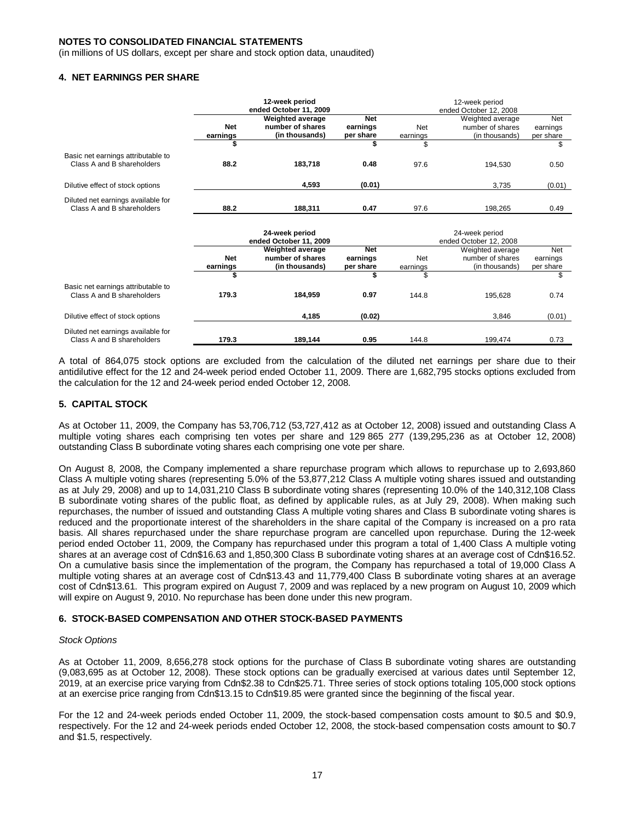(in millions of US dollars, except per share and stock option data, unaudited)

### **4. NET EARNINGS PER SHARE**

|                                    | 12-week period<br>ended October 11, 2009 |                         |            | 12-week period<br>ended October 12, 2008 |                        |           |  |
|------------------------------------|------------------------------------------|-------------------------|------------|------------------------------------------|------------------------|-----------|--|
|                                    |                                          | <b>Weighted average</b> | <b>Net</b> |                                          | Weighted average       | Net       |  |
|                                    | <b>Net</b>                               | number of shares        | earnings   | Net                                      | number of shares       | earnings  |  |
|                                    | earnings                                 | (in thousands)          | per share  | earnings                                 | (in thousands)         | per share |  |
|                                    |                                          |                         |            | \$                                       |                        | \$        |  |
| Basic net earnings attributable to |                                          |                         |            |                                          |                        |           |  |
| Class A and B shareholders         | 88.2                                     | 183,718                 | 0.48       | 97.6                                     | 194,530                | 0.50      |  |
|                                    |                                          |                         |            |                                          |                        |           |  |
| Dilutive effect of stock options   |                                          | 4,593                   | (0.01)     |                                          | 3,735                  | (0.01)    |  |
| Diluted net earnings available for |                                          |                         |            |                                          |                        |           |  |
| Class A and B shareholders         | 88.2                                     | 188,311                 | 0.47       | 97.6                                     | 198,265                | 0.49      |  |
|                                    |                                          |                         |            |                                          |                        |           |  |
|                                    | 24-week period                           |                         |            | 24-week period                           |                        |           |  |
|                                    |                                          | ended October 11, 2009  |            |                                          | ended October 12, 2008 |           |  |
|                                    |                                          | <b>Weighted average</b> | <b>Net</b> |                                          | Weighted average       | Net       |  |
|                                    | <b>Net</b>                               | number of shares        | earnings   | Net                                      | number of shares       | earnings  |  |
|                                    | earnings                                 | (in thousands)          | per share  | earnings                                 | (in thousands)         | per share |  |
|                                    | \$                                       |                         | \$         | \$                                       |                        | \$        |  |
| Basic net earnings attributable to |                                          |                         |            |                                          |                        |           |  |
| Class A and B shareholders         | 179.3                                    | 184,959                 | 0.97       | 144.8                                    | 195,628                | 0.74      |  |

Dilutive effect of stock options **4,185 (0.02)** 3,846 (0.01) Diluted net earnings available for Class A and B shareholders **179.3 189,144 0.95** 144.8 199,474 0.73

A total of 864,075 stock options are excluded from the calculation of the diluted net earnings per share due to their antidilutive effect for the 12 and 24-week period ended October 11, 2009. There are 1,682,795 stocks options excluded from the calculation for the 12 and 24-week period ended October 12, 2008.

#### **5. CAPITAL STOCK**

As at October 11, 2009, the Company has 53,706,712 (53,727,412 as at October 12, 2008) issued and outstanding Class A multiple voting shares each comprising ten votes per share and 129 865 277 (139,295,236 as at October 12, 2008) outstanding Class B subordinate voting shares each comprising one vote per share.

On August 8, 2008, the Company implemented a share repurchase program which allows to repurchase up to 2,693,860 Class A multiple voting shares (representing 5.0% of the 53,877,212 Class A multiple voting shares issued and outstanding as at July 29, 2008) and up to 14,031,210 Class B subordinate voting shares (representing 10.0% of the 140,312,108 Class B subordinate voting shares of the public float, as defined by applicable rules, as at July 29, 2008). When making such repurchases, the number of issued and outstanding Class A multiple voting shares and Class B subordinate voting shares is reduced and the proportionate interest of the shareholders in the share capital of the Company is increased on a pro rata basis. All shares repurchased under the share repurchase program are cancelled upon repurchase. During the 12-week period ended October 11, 2009, the Company has repurchased under this program a total of 1,400 Class A multiple voting shares at an average cost of Cdn\$16.63 and 1,850,300 Class B subordinate voting shares at an average cost of Cdn\$16.52. On a cumulative basis since the implementation of the program, the Company has repurchased a total of 19,000 Class A multiple voting shares at an average cost of Cdn\$13.43 and 11,779,400 Class B subordinate voting shares at an average cost of Cdn\$13.61. This program expired on August 7, 2009 and was replaced by a new program on August 10, 2009 which will expire on August 9, 2010. No repurchase has been done under this new program.

#### **6. STOCK-BASED COMPENSATION AND OTHER STOCK-BASED PAYMENTS**

#### *Stock Options*

As at October 11, 2009, 8,656,278 stock options for the purchase of Class B subordinate voting shares are outstanding (9,083,695 as at October 12, 2008). These stock options can be gradually exercised at various dates until September 12, 2019, at an exercise price varying from Cdn\$2.38 to Cdn\$25.71. Three series of stock options totaling 105,000 stock options at an exercise price ranging from Cdn\$13.15 to Cdn\$19.85 were granted since the beginning of the fiscal year.

For the 12 and 24-week periods ended October 11, 2009, the stock-based compensation costs amount to \$0.5 and \$0.9, respectively. For the 12 and 24-week periods ended October 12, 2008, the stock-based compensation costs amount to \$0.7 and \$1.5, respectively.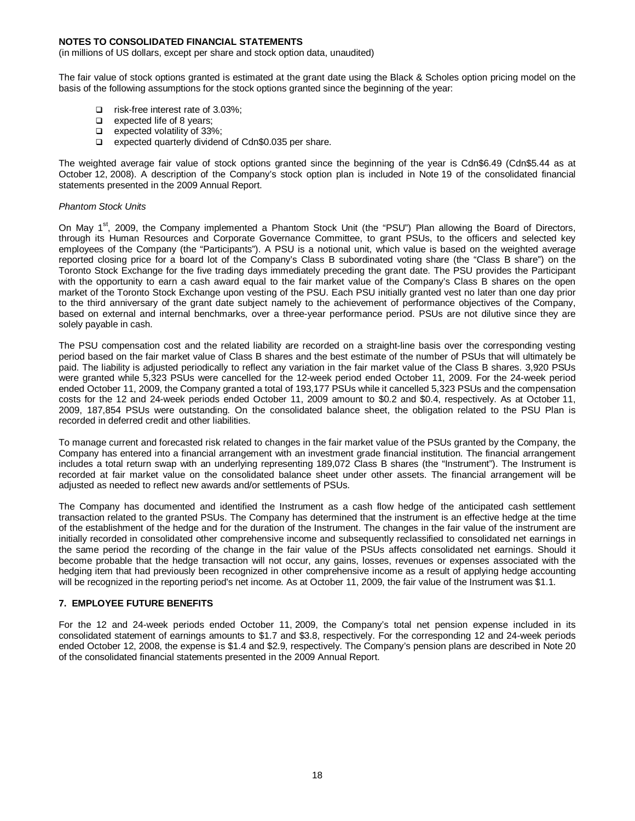(in millions of US dollars, except per share and stock option data, unaudited)

The fair value of stock options granted is estimated at the grant date using the Black & Scholes option pricing model on the basis of the following assumptions for the stock options granted since the beginning of the year:

- risk-free interest rate of 3.03%;
- $\Box$  expected life of 8 years;
- expected volatility of 33%;
- □ expected quarterly dividend of Cdn\$0.035 per share.

The weighted average fair value of stock options granted since the beginning of the year is Cdn\$6.49 (Cdn\$5.44 as at October 12, 2008). A description of the Company's stock option plan is included in Note 19 of the consolidated financial statements presented in the 2009 Annual Report.

#### *Phantom Stock Units*

On May 1<sup>st</sup>, 2009, the Company implemented a Phantom Stock Unit (the "PSU") Plan allowing the Board of Directors, through its Human Resources and Corporate Governance Committee, to grant PSUs, to the officers and selected key employees of the Company (the "Participants"). A PSU is a notional unit, which value is based on the weighted average reported closing price for a board lot of the Company's Class B subordinated voting share (the "Class B share") on the Toronto Stock Exchange for the five trading days immediately preceding the grant date. The PSU provides the Participant with the opportunity to earn a cash award equal to the fair market value of the Company's Class B shares on the open market of the Toronto Stock Exchange upon vesting of the PSU. Each PSU initially granted vest no later than one day prior to the third anniversary of the grant date subject namely to the achievement of performance objectives of the Company, based on external and internal benchmarks, over a three-year performance period. PSUs are not dilutive since they are solely payable in cash.

The PSU compensation cost and the related liability are recorded on a straight-line basis over the corresponding vesting period based on the fair market value of Class B shares and the best estimate of the number of PSUs that will ultimately be paid. The liability is adjusted periodically to reflect any variation in the fair market value of the Class B shares. 3,920 PSUs were granted while 5,323 PSUs were cancelled for the 12-week period ended October 11, 2009. For the 24-week period ended October 11, 2009, the Company granted a total of 193,177 PSUs while it cancelled 5,323 PSUs and the compensation costs for the 12 and 24-week periods ended October 11, 2009 amount to \$0.2 and \$0.4, respectively. As at October 11, 2009, 187,854 PSUs were outstanding. On the consolidated balance sheet, the obligation related to the PSU Plan is recorded in deferred credit and other liabilities.

To manage current and forecasted risk related to changes in the fair market value of the PSUs granted by the Company, the Company has entered into a financial arrangement with an investment grade financial institution. The financial arrangement includes a total return swap with an underlying representing 189,072 Class B shares (the "Instrument"). The Instrument is recorded at fair market value on the consolidated balance sheet under other assets. The financial arrangement will be adjusted as needed to reflect new awards and/or settlements of PSUs.

The Company has documented and identified the Instrument as a cash flow hedge of the anticipated cash settlement transaction related to the granted PSUs. The Company has determined that the instrument is an effective hedge at the time of the establishment of the hedge and for the duration of the Instrument. The changes in the fair value of the instrument are initially recorded in consolidated other comprehensive income and subsequently reclassified to consolidated net earnings in the same period the recording of the change in the fair value of the PSUs affects consolidated net earnings. Should it become probable that the hedge transaction will not occur, any gains, losses, revenues or expenses associated with the hedging item that had previously been recognized in other comprehensive income as a result of applying hedge accounting will be recognized in the reporting period's net income. As at October 11, 2009, the fair value of the Instrument was \$1.1.

#### **7. EMPLOYEE FUTURE BENEFITS**

For the 12 and 24-week periods ended October 11, 2009, the Company's total net pension expense included in its consolidated statement of earnings amounts to \$1.7 and \$3.8, respectively. For the corresponding 12 and 24-week periods ended October 12, 2008, the expense is \$1.4 and \$2.9, respectively. The Company's pension plans are described in Note 20 of the consolidated financial statements presented in the 2009 Annual Report.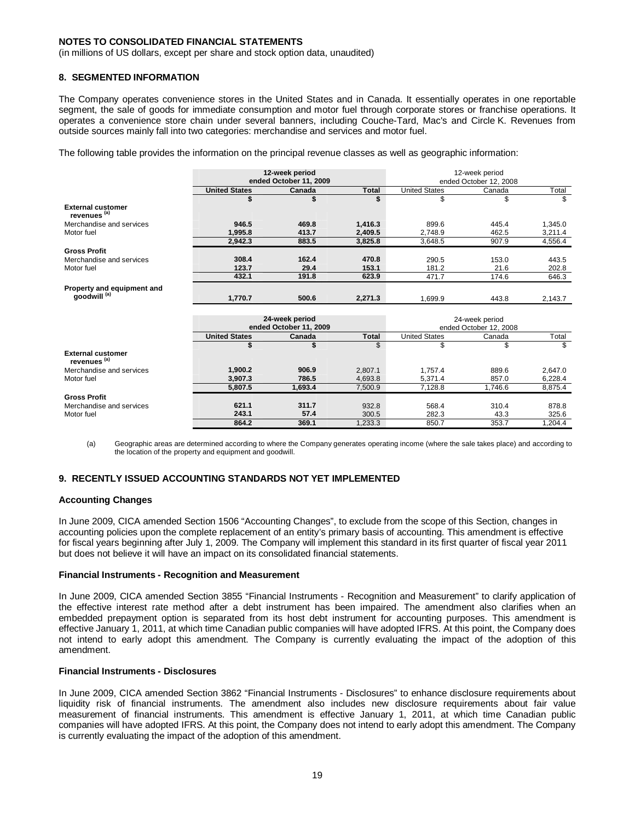(in millions of US dollars, except per share and stock option data, unaudited)

### **8. SEGMENTED INFORMATION**

The Company operates convenience stores in the United States and in Canada. It essentially operates in one reportable segment, the sale of goods for immediate consumption and motor fuel through corporate stores or franchise operations. It operates a convenience store chain under several banners, including Couche-Tard, Mac's and Circle K. Revenues from outside sources mainly fall into two categories: merchandise and services and motor fuel.

The following table provides the information on the principal revenue classes as well as geographic information:

|                                                       | 12-week period                           |         | 12-week period                           |                        |         |         |  |
|-------------------------------------------------------|------------------------------------------|---------|------------------------------------------|------------------------|---------|---------|--|
|                                                       | ended October 11, 2009                   |         |                                          | ended October 12, 2008 |         |         |  |
|                                                       | <b>United States</b>                     | Canada  | <b>Total</b>                             | <b>United States</b>   | Canada  | Total   |  |
|                                                       | \$                                       | \$      | \$                                       | \$                     | \$      | \$      |  |
| <b>External customer</b><br>revenues <sup>(a)</sup>   |                                          |         |                                          |                        |         |         |  |
| Merchandise and services                              | 946.5                                    | 469.8   | 1,416.3                                  | 899.6                  | 445.4   | 1.345.0 |  |
| Motor fuel                                            | 1.995.8                                  | 413.7   | 2,409.5                                  | 2.748.9                | 462.5   | 3,211.4 |  |
|                                                       | 2.942.3                                  | 883.5   | 3,825.8                                  | 3,648.5                | 907.9   | 4,556.4 |  |
| <b>Gross Profit</b>                                   |                                          |         |                                          |                        |         |         |  |
| Merchandise and services                              | 308.4                                    | 162.4   | 470.8                                    | 290.5                  | 153.0   | 443.5   |  |
| Motor fuel                                            | 123.7                                    | 29.4    | 153.1                                    | 181.2                  | 21.6    | 202.8   |  |
|                                                       | 432.1                                    | 191.8   | 623.9                                    | 471.7                  | 174.6   | 646.3   |  |
| Property and equipment and<br>goodwill <sup>(a)</sup> | 1.770.7                                  | 500.6   | 2.271.3                                  | 1,699.9                | 443.8   | 2,143.7 |  |
|                                                       |                                          |         |                                          |                        |         |         |  |
|                                                       | 24-week period<br>ended October 11, 2009 |         | 24-week period<br>ended October 12, 2008 |                        |         |         |  |
|                                                       | <b>United States</b>                     | Canada  | <b>Total</b>                             | <b>United States</b>   | Canada  | Total   |  |
|                                                       | \$                                       | \$      | \$                                       | \$                     | \$      | \$      |  |
| <b>External customer</b><br>revenues <sup>(a)</sup>   |                                          |         |                                          |                        |         |         |  |
| Merchandise and services                              | 1,900.2                                  | 906.9   | 2,807.1                                  | 1,757.4                | 889.6   | 2,647.0 |  |
| Motor fuel                                            | 3,907.3                                  | 786.5   | 4,693.8                                  | 5,371.4                | 857.0   | 6,228.4 |  |
|                                                       | 5.807.5                                  | 1.693.4 | 7.500.9                                  | 7.128.8                | 1.746.6 | 8,875.4 |  |
| <b>Gross Profit</b>                                   |                                          |         |                                          |                        |         |         |  |
| Merchandise and services                              | 621.1                                    | 311.7   | 932.8                                    | 568.4                  | 310.4   | 878.8   |  |
| Motor fuel                                            | 243.1                                    | 57.4    | 300.5                                    | 282.3                  | 43.3    | 325.6   |  |
|                                                       | 864.2                                    | 369.1   | 1.233.3                                  | 850.7                  | 353.7   | 1,204.4 |  |

(a) Geographic areas are determined according to where the Company generates operating income (where the sale takes place) and according to the location of the property and equipment and goodwill.

### **9. RECENTLY ISSUED ACCOUNTING STANDARDS NOT YET IMPLEMENTED**

#### **Accounting Changes**

In June 2009, CICA amended Section 1506 "Accounting Changes", to exclude from the scope of this Section, changes in accounting policies upon the complete replacement of an entity's primary basis of accounting. This amendment is effective for fiscal years beginning after July 1, 2009. The Company will implement this standard in its first quarter of fiscal year 2011 but does not believe it will have an impact on its consolidated financial statements.

#### **Financial Instruments - Recognition and Measurement**

In June 2009, CICA amended Section 3855 "Financial Instruments - Recognition and Measurement" to clarify application of the effective interest rate method after a debt instrument has been impaired. The amendment also clarifies when an embedded prepayment option is separated from its host debt instrument for accounting purposes. This amendment is effective January 1, 2011, at which time Canadian public companies will have adopted IFRS. At this point, the Company does not intend to early adopt this amendment. The Company is currently evaluating the impact of the adoption of this amendment.

#### **Financial Instruments - Disclosures**

In June 2009, CICA amended Section 3862 "Financial Instruments - Disclosures" to enhance disclosure requirements about liquidity risk of financial instruments. The amendment also includes new disclosure requirements about fair value measurement of financial instruments. This amendment is effective January 1, 2011, at which time Canadian public companies will have adopted IFRS. At this point, the Company does not intend to early adopt this amendment. The Company is currently evaluating the impact of the adoption of this amendment.